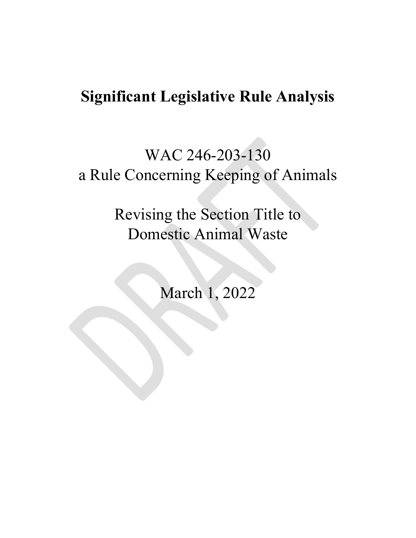## **Significant Legislative Rule Analysis**

# WAC 246-203-130 a Rule Concerning Keeping of Animals

Revising the Section Title to Domestic Animal Waste

March 1, 2022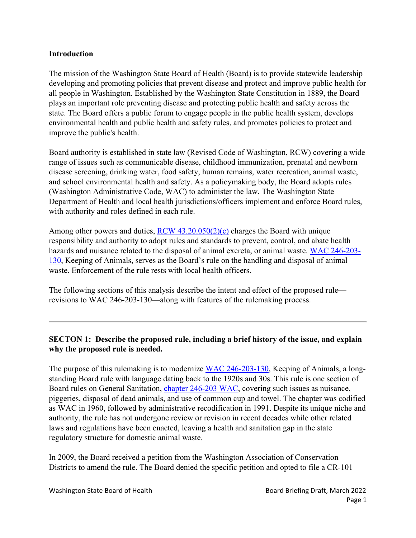#### **Introduction**

The mission of the Washington State Board of Health (Board) is to provide statewide leadership developing and promoting policies that prevent disease and protect and improve public health for all people in Washington. Established by the Washington State Constitution in 1889, the Board plays an important role preventing disease and protecting public health and safety across the state. The Board offers a public forum to engage people in the public health system, develops environmental health and public health and safety rules, and promotes policies to protect and improve the public's health.

Board authority is established in state law (Revised Code of Washington, RCW) covering a wide range of issues such as communicable disease, childhood immunization, prenatal and newborn disease screening, drinking water, food safety, human remains, water recreation, animal waste, and school environmental health and safety. As a policymaking body, the Board adopts rules (Washington Administrative Code, WAC) to administer the law. The Washington State Department of Health and local health jurisdictions/officers implement and enforce Board rules, with authority and roles defined in each rule.

Among other powers and duties,  $RCW$  [43.20.050\(2\)\(c\)](https://apps.leg.wa.gov/RCW/default.aspx?cite=43.20.050) charges the Board with unique responsibility and authority to adopt rules and standards to prevent, control, and abate health hazards and nuisance related to the disposal of animal excreta, or animal waste. WAC [246-203-](https://apps.leg.wa.gov/WAC/default.aspx?cite=246-203-130) [130,](https://apps.leg.wa.gov/WAC/default.aspx?cite=246-203-130) Keeping of Animals, serves as the Board's rule on the handling and disposal of animal waste. Enforcement of the rule rests with local health officers.

The following sections of this analysis describe the intent and effect of the proposed rule revisions to WAC 246-203-130—along with features of the rulemaking process.

## **SECTON 1: Describe the proposed rule, including a brief history of the issue, and explain why the proposed rule is needed.**

The purpose of this rulemaking is to modernize [WAC 246-203-130,](https://apps.leg.wa.gov/WAC/default.aspx?cite=246-203-130) Keeping of Animals, a longstanding Board rule with language dating back to the 1920s and 30s. This rule is one section of Board rules on General Sanitation, [chapter 246-203 WAC,](https://app.leg.wa.gov/wac/default.aspx?cite=246-203&full=true) covering such issues as nuisance, piggeries, disposal of dead animals, and use of common cup and towel. The chapter was codified as WAC in 1960, followed by administrative recodification in 1991. Despite its unique niche and authority, the rule has not undergone review or revision in recent decades while other related laws and regulations have been enacted, leaving a health and sanitation gap in the state regulatory structure for domestic animal waste.

In 2009, the Board received a petition from the Washington Association of Conservation Districts to amend the rule. The Board denied the specific petition and opted to file a CR-101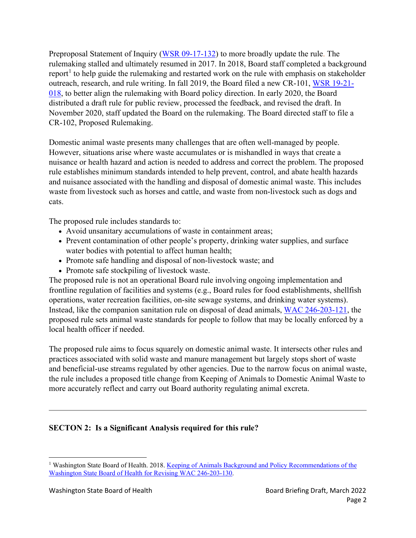<span id="page-2-1"></span>Preproposal Statement of Inquiry [\(WSR 09-17-132\)](http://apps.leg.wa.gov/documents/laws/wsr/2009/17%5C09-17-132.htm) to more broadly update the rule. The rulemaking stalled and ultimately resumed in 2017. In 2018, Board staff completed a background report<sup>[1](#page-2-0)</sup> to help guide the rulemaking and restarted work on the rule with emphasis on stakeholder outreach, research, and rule writing. In fall 2019, the Board filed a new CR-101, [WSR 19-21-](http://lawfilesext.leg.wa.gov/law/wsr/2019/21/19-21-018.htm) [018,](http://lawfilesext.leg.wa.gov/law/wsr/2019/21/19-21-018.htm) to better align the rulemaking with Board policy direction. In early 2020, the Board distributed a draft rule for public review, processed the feedback, and revised the draft. In November 2020, staff updated the Board on the rulemaking. The Board directed staff to file a CR-102, Proposed Rulemaking.

Domestic animal waste presents many challenges that are often well-managed by people. However, situations arise where waste accumulates or is mishandled in ways that create a nuisance or health hazard and action is needed to address and correct the problem. The proposed rule establishes minimum standards intended to help prevent, control, and abate health hazards and nuisance associated with the handling and disposal of domestic animal waste. This includes waste from livestock such as horses and cattle, and waste from non-livestock such as dogs and cats.

The proposed rule includes standards to:

- Avoid unsanitary accumulations of waste in containment areas;
- Prevent contamination of other people's property, drinking water supplies, and surface water bodies with potential to affect human health;
- Promote safe handling and disposal of non-livestock waste; and
- Promote safe stockpiling of livestock waste.

The proposed rule is not an operational Board rule involving ongoing implementation and frontline regulation of facilities and systems (e.g., Board rules for food establishments, shellfish operations, water recreation facilities, on-site sewage systems, and drinking water systems). Instead, like the companion sanitation rule on disposal of dead animals, [WAC 246-203-121,](https://apps.leg.wa.gov/WAC/default.aspx?cite=246-203-121) the proposed rule sets animal waste standards for people to follow that may be locally enforced by a local health officer if needed.

The proposed rule aims to focus squarely on domestic animal waste. It intersects other rules and practices associated with solid waste and manure management but largely stops short of waste and beneficial-use streams regulated by other agencies. Due to the narrow focus on animal waste, the rule includes a proposed title change from Keeping of Animals to Domestic Animal Waste to more accurately reflect and carry out Board authority regulating animal excreta.

## **SECTON 2: Is a Significant Analysis required for this rule?**

<span id="page-2-0"></span><sup>&</sup>lt;sup>1</sup> Washington State Board of Health. 2018. Keeping of Animals Background and Policy Recommendations of the [Washington State Board of Health for Revising WAC 246-203-130.](https://sboh.wa.gov/Portals/7/Doc/Publications/KeepingOfAnimals-FinalReport.pdf)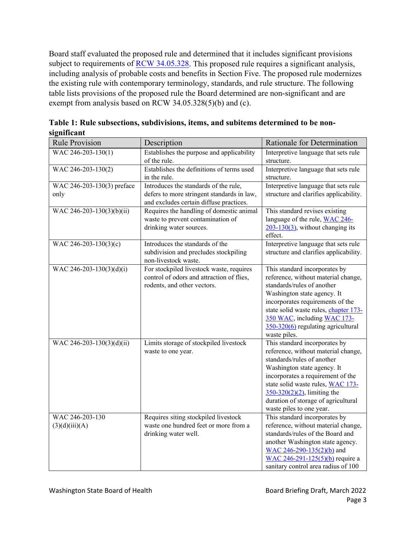Board staff evaluated the proposed rule and determined that it includes significant provisions subject to requirements of [RCW 34.05.328.](https://apps.leg.wa.gov/RCW/default.aspx?cite=34.05.328) This proposed rule requires a significant analysis, including analysis of probable costs and benefits in Section Five. The proposed rule modernizes the existing rule with contemporary terminology, standards, and rule structure. The following table lists provisions of the proposed rule the Board determined are non-significant and are exempt from analysis based on RCW 34.05.328(5)(b) and (c).

| <b>Rule Provision</b>              | Description                                                                                                                    | Rationale for Determination                                                                                                                                                                                                                                                                                      |
|------------------------------------|--------------------------------------------------------------------------------------------------------------------------------|------------------------------------------------------------------------------------------------------------------------------------------------------------------------------------------------------------------------------------------------------------------------------------------------------------------|
| WAC 246-203-130(1)                 | Establishes the purpose and applicability<br>of the rule.                                                                      | Interpretive language that sets rule<br>structure.                                                                                                                                                                                                                                                               |
| WAC 246-203-130(2)                 | Establishes the definitions of terms used<br>in the rule.                                                                      | Interpretive language that sets rule<br>structure.                                                                                                                                                                                                                                                               |
| WAC 246-203-130(3) preface<br>only | Introduces the standards of the rule,<br>defers to more stringent standards in law,<br>and excludes certain diffuse practices. | Interpretive language that sets rule<br>structure and clarifies applicability.                                                                                                                                                                                                                                   |
| WAC 246-203-130(3)(b)(ii)          | Requires the handling of domestic animal<br>waste to prevent contamination of<br>drinking water sources.                       | This standard revises existing<br>language of the rule, WAC 246-<br>$203-130(3)$ , without changing its<br>effect.                                                                                                                                                                                               |
| WAC 246-203-130(3)(c)              | Introduces the standards of the<br>subdivision and precludes stockpiling<br>non-livestock waste.                               | Interpretive language that sets rule<br>structure and clarifies applicability.                                                                                                                                                                                                                                   |
| WAC 246-203-130(3)(d)(i)           | For stockpiled livestock waste, requires<br>control of odors and attraction of flies,<br>rodents, and other vectors.           | This standard incorporates by<br>reference, without material change,<br>standards/rules of another<br>Washington state agency. It<br>incorporates requirements of the<br>state solid waste rules, chapter 173-<br>350 WAC, including WAC 173-<br>350-320(6) regulating agricultural<br>waste piles.              |
| WAC 246-203-130(3)(d)(ii)          | Limits storage of stockpiled livestock<br>waste to one year.                                                                   | This standard incorporates by<br>reference, without material change,<br>standards/rules of another<br>Washington state agency. It<br>incorporates a requirement of the<br>state solid waste rules, WAC 173-<br>$350-320(2)(2)$ , limiting the<br>duration of storage of agricultural<br>waste piles to one year. |
| WAC 246-203-130<br>(3)(d)(iii)(A)  | Requires siting stockpiled livestock<br>waste one hundred feet or more from a<br>drinking water well.                          | This standard incorporates by<br>reference, without material change,<br>standards/rules of the Board and<br>another Washington state agency.<br>WAC 246-290-135(2)(b) and<br>WAC 246-291-125(5)(b) require a<br>sanitary control area radius of 100                                                              |

**Table 1: Rule subsections, subdivisions, items, and subitems determined to be nonsignificant**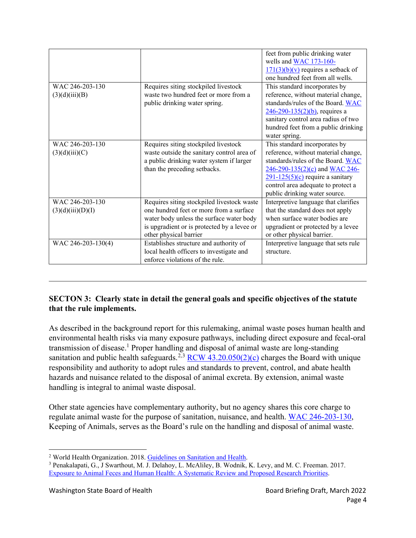|                                      |                                                                                                                                                                                                            | feet from public drinking water<br>wells and WAC 173-160-                                                                                                                                                                                                  |
|--------------------------------------|------------------------------------------------------------------------------------------------------------------------------------------------------------------------------------------------------------|------------------------------------------------------------------------------------------------------------------------------------------------------------------------------------------------------------------------------------------------------------|
|                                      |                                                                                                                                                                                                            | $171(3)(b)(v)$ requires a setback of<br>one hundred feet from all wells.                                                                                                                                                                                   |
| WAC 246-203-130<br>(3)(d)(iii)(B)    | Requires siting stockpiled livestock<br>waste two hundred feet or more from a<br>public drinking water spring.                                                                                             | This standard incorporates by<br>reference, without material change,<br>standards/rules of the Board. WAC<br>$246 - 290 - 135(2)(b)$ , requires a<br>sanitary control area radius of two<br>hundred feet from a public drinking<br>water spring.           |
| WAC 246-203-130<br>(3)(d)(iii)(C)    | Requires siting stockpiled livestock<br>waste outside the sanitary control area of<br>a public drinking water system if larger<br>than the preceding setbacks.                                             | This standard incorporates by<br>reference, without material change,<br>standards/rules of the Board. WAC<br>246-290-135(2)(c) and WAC 246-<br>$291 - 125(5)(c)$ require a sanitary<br>control area adequate to protect a<br>public drinking water source. |
| WAC 246-203-130<br>(3)(d)(iii)(D)(I) | Requires siting stockpiled livestock waste<br>one hundred feet or more from a surface<br>water body unless the surface water body<br>is upgradient or is protected by a levee or<br>other physical barrier | Interpretive language that clarifies<br>that the standard does not apply<br>when surface water bodies are<br>upgradient or protected by a levee<br>or other physical barrier.                                                                              |
| WAC 246-203-130(4)                   | Establishes structure and authority of<br>local health officers to investigate and<br>enforce violations of the rule.                                                                                      | Interpretive language that sets rule<br>structure.                                                                                                                                                                                                         |

## **SECTON 3: Clearly state in detail the general goals and specific objectives of the statute that the rule implements.**

<span id="page-4-3"></span><span id="page-4-2"></span>As described in the background report for this rulemaking, animal waste poses human health and environmental health risks via many exposure pathways, including direct exposure and fecal-oral transmission of disease.<sup>[1](#page-2-1)</sup> Proper handling and disposal of animal waste are long-standing sanitation and public health safeguards.<sup>[2](#page-4-0),[3](#page-4-1)</sup> RCW [43.20.050\(2\)\(c\)](https://apps.leg.wa.gov/RCW/default.aspx?cite=43.20.050) charges the Board with unique responsibility and authority to adopt rules and standards to prevent, control, and abate health hazards and nuisance related to the disposal of animal excreta. By extension, animal waste handling is integral to animal waste disposal.

Other state agencies have complementary authority, but no agency shares this core charge to regulate animal waste for the purpose of sanitation, nuisance, and health. WAC [246-203-130,](https://apps.leg.wa.gov/WAC/default.aspx?cite=246-203-130) Keeping of Animals, serves as the Board's rule on the handling and disposal of animal waste.

<span id="page-4-0"></span><sup>2</sup> World Health Organization. 2018. [Guidelines on Sanitation and Health.](https://www.who.int/publications/i/item/9789241514705)

<span id="page-4-1"></span><sup>3</sup> Penakalapati, G., J Swarthout, M. J. Delahoy, L. McAliley, B. Wodnik, K. Levy, and M. C. Freeman. 2017. [Exposure to Animal Feces and Human](https://www.ncbi.nlm.nih.gov/pmc/articles/PMC5647569/pdf/es7b02811.pdf) Health: A Systematic Review and Proposed Research Priorities.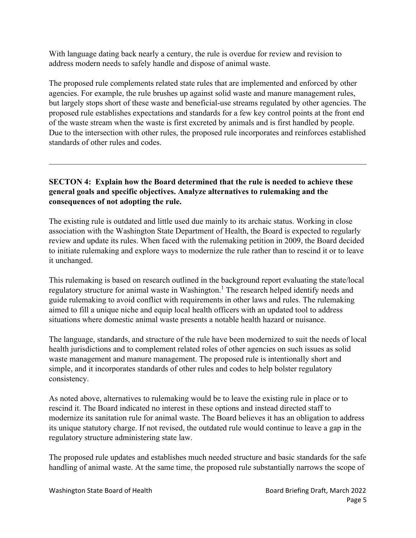With language dating back nearly a century, the rule is overdue for review and revision to address modern needs to safely handle and dispose of animal waste.

The proposed rule complements related state rules that are implemented and enforced by other agencies. For example, the rule brushes up against solid waste and manure management rules, but largely stops short of these waste and beneficial-use streams regulated by other agencies. The proposed rule establishes expectations and standards for a few key control points at the front end of the waste stream when the waste is first excreted by animals and is first handled by people. Due to the intersection with other rules, the proposed rule incorporates and reinforces established standards of other rules and codes.

## **SECTON 4: Explain how the Board determined that the rule is needed to achieve these general goals and specific objectives. Analyze alternatives to rulemaking and the consequences of not adopting the rule.**

The existing rule is outdated and little used due mainly to its archaic status. Working in close association with the Washington State Department of Health, the Board is expected to regularly review and update its rules. When faced with the rulemaking petition in 2009, the Board decided to initiate rulemaking and explore ways to modernize the rule rather than to rescind it or to leave it unchanged.

This rulemaking is based on research outlined in the background report evaluating the state/local regulatory structure for animal waste in Washington.<sup>[1](#page-2-1)</sup> The research helped identify needs and guide rulemaking to avoid conflict with requirements in other laws and rules. The rulemaking aimed to fill a unique niche and equip local health officers with an updated tool to address situations where domestic animal waste presents a notable health hazard or nuisance.

The language, standards, and structure of the rule have been modernized to suit the needs of local health jurisdictions and to complement related roles of other agencies on such issues as solid waste management and manure management. The proposed rule is intentionally short and simple, and it incorporates standards of other rules and codes to help bolster regulatory consistency.

As noted above, alternatives to rulemaking would be to leave the existing rule in place or to rescind it. The Board indicated no interest in these options and instead directed staff to modernize its sanitation rule for animal waste. The Board believes it has an obligation to address its unique statutory charge. If not revised, the outdated rule would continue to leave a gap in the regulatory structure administering state law.

The proposed rule updates and establishes much needed structure and basic standards for the safe handling of animal waste. At the same time, the proposed rule substantially narrows the scope of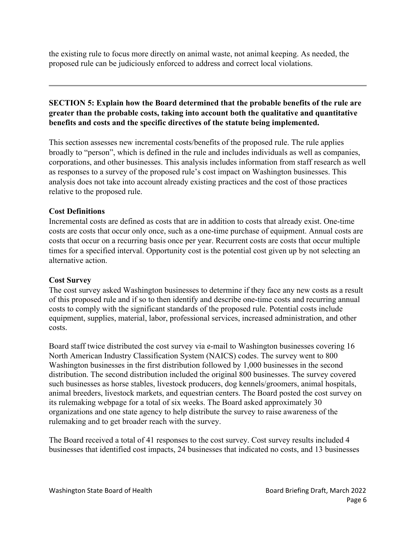the existing rule to focus more directly on animal waste, not animal keeping. As needed, the proposed rule can be judiciously enforced to address and correct local violations.

## **SECTION 5: Explain how the Board determined that the probable benefits of the rule are greater than the probable costs, taking into account both the qualitative and quantitative benefits and costs and the specific directives of the statute being implemented.**

This section assesses new incremental costs/benefits of the proposed rule. The rule applies broadly to "person", which is defined in the rule and includes individuals as well as companies, corporations, and other businesses. This analysis includes information from staff research as well as responses to a survey of the proposed rule's cost impact on Washington businesses. This analysis does not take into account already existing practices and the cost of those practices relative to the proposed rule.

## **Cost Definitions**

Incremental costs are defined as costs that are in addition to costs that already exist. One-time costs are costs that occur only once, such as a one-time purchase of equipment. Annual costs are costs that occur on a recurring basis once per year. Recurrent costs are costs that occur multiple times for a specified interval. Opportunity cost is the potential cost given up by not selecting an alternative action.

## **Cost Survey**

The cost survey asked Washington businesses to determine if they face any new costs as a result of this proposed rule and if so to then identify and describe one-time costs and recurring annual costs to comply with the significant standards of the proposed rule. Potential costs include equipment, supplies, material, labor, professional services, increased administration, and other costs.

Board staff twice distributed the cost survey via e-mail to Washington businesses covering 16 North American Industry Classification System (NAICS) codes. The survey went to 800 Washington businesses in the first distribution followed by 1,000 businesses in the second distribution. The second distribution included the original 800 businesses. The survey covered such businesses as horse stables, livestock producers, dog kennels/groomers, animal hospitals, animal breeders, livestock markets, and equestrian centers. The Board posted the cost survey on its rulemaking webpage for a total of six weeks. The Board asked approximately 30 organizations and one state agency to help distribute the survey to raise awareness of the rulemaking and to get broader reach with the survey.

The Board received a total of 41 responses to the cost survey. Cost survey results included 4 businesses that identified cost impacts, 24 businesses that indicated no costs, and 13 businesses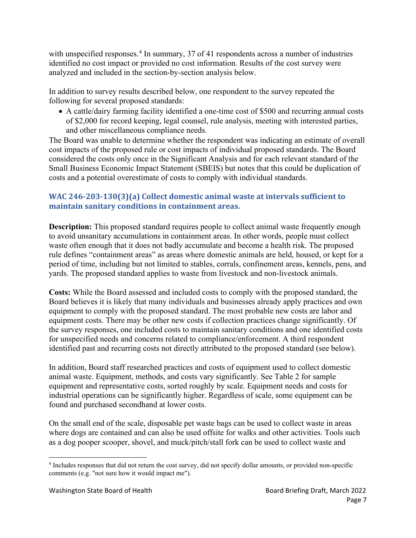with unspecified responses.<sup>[4](#page-7-0)</sup> In summary, 37 of 41 respondents across a number of industries identified no cost impact or provided no cost information. Results of the cost survey were analyzed and included in the section-by-section analysis below.

In addition to survey results described below, one respondent to the survey repeated the following for several proposed standards:

• A cattle/dairy farming facility identified a one-time cost of \$500 and recurring annual costs of \$2,000 for record keeping, legal counsel, rule analysis, meeting with interested parties, and other miscellaneous compliance needs.

The Board was unable to determine whether the respondent was indicating an estimate of overall cost impacts of the proposed rule or cost impacts of individual proposed standards. The Board considered the costs only once in the Significant Analysis and for each relevant standard of the Small Business Economic Impact Statement (SBEIS) but notes that this could be duplication of costs and a potential overestimate of costs to comply with individual standards.

## **WAC 246-203-130(3)(a) Collect domestic animal waste at intervals sufficient to maintain sanitary conditions in containment areas.**

**Description:** This proposed standard requires people to collect animal waste frequently enough to avoid unsanitary accumulations in containment areas. In other words, people must collect waste often enough that it does not badly accumulate and become a health risk. The proposed rule defines "containment areas" as areas where domestic animals are held, housed, or kept for a period of time, including but not limited to stables, corrals, confinement areas, kennels, pens, and yards. The proposed standard applies to waste from livestock and non-livestock animals.

**Costs:** While the Board assessed and included costs to comply with the proposed standard, the Board believes it is likely that many individuals and businesses already apply practices and own equipment to comply with the proposed standard. The most probable new costs are labor and equipment costs. There may be other new costs if collection practices change significantly. Of the survey responses, one included costs to maintain sanitary conditions and one identified costs for unspecified needs and concerns related to compliance/enforcement. A third respondent identified past and recurring costs not directly attributed to the proposed standard (see below).

In addition, Board staff researched practices and costs of equipment used to collect domestic animal waste. Equipment, methods, and costs vary significantly. See Table 2 for sample equipment and representative costs, sorted roughly by scale. Equipment needs and costs for industrial operations can be significantly higher. Regardless of scale, some equipment can be found and purchased secondhand at lower costs.

On the small end of the scale, disposable pet waste bags can be used to collect waste in areas where dogs are contained and can also be used offsite for walks and other activities. Tools such as a dog pooper scooper, shovel, and muck/pitch/stall fork can be used to collect waste and

<span id="page-7-0"></span><sup>4</sup> Includes responses that did not return the cost survey, did not specify dollar amounts, or provided non-specific comments (e.g. "not sure how it would impact me").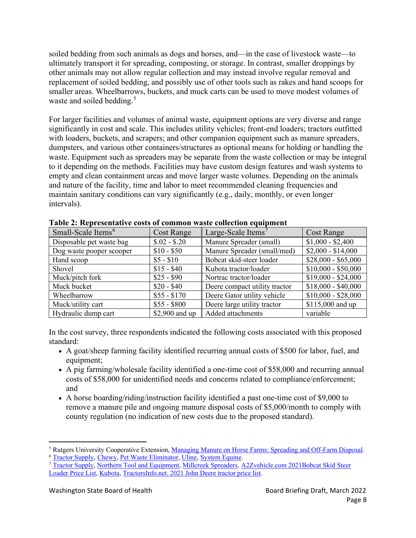soiled bedding from such animals as dogs and horses, and—in the case of livestock waste—to ultimately transport it for spreading, composting, or storage. In contrast, smaller droppings by other animals may not allow regular collection and may instead involve regular removal and replacement of soiled bedding, and possibly use of other tools such as rakes and hand scoops for smaller areas. Wheelbarrows, buckets, and muck carts can be used to move modest volumes of waste and soiled bedding.<sup>[5](#page-8-0)</sup>

<span id="page-8-3"></span>For larger facilities and volumes of animal waste, equipment options are very diverse and range significantly in cost and scale. This includes utility vehicles; front-end loaders; tractors outfitted with loaders, buckets, and scrapers; and other companion equipment such as manure spreaders, dumpsters, and various other containers/structures as optional means for holding or handling the waste. Equipment such as spreaders may be separate from the waste collection or may be integral to it depending on the methods. Facilities may have custom design features and wash systems to empty and clean containment areas and move larger waste volumes. Depending on the animals and nature of the facility, time and labor to meet recommended cleaning frequencies and maintain sanitary conditions can vary significantly (e.g., daily, monthly, or even longer intervals).

| Small-Scale Items <sup>6</sup> | <b>Cost Range</b> | Large-Scale Items <sup>7</sup> | <b>Cost Range</b>   |
|--------------------------------|-------------------|--------------------------------|---------------------|
| Disposable pet waste bag       | $$.02 - $.20$     | Manure Spreader (small)        | $$1,000 - $2,400$   |
| Dog waste pooper scooper       | $$10 - $50$       | Manure Spreader (small/med)    | $$2,000 - $14,000$  |
| Hand scoop                     | $$5 - $10$        | Bobcat skid-steer loader       | $$28,000 - $65,000$ |
| Shovel                         | $$15 - $40$       | Kubota tractor/loader          | $$10,000 - $50,000$ |
| Muck/pitch fork                | $$25 - $90$       | Nortrac tractor/loader         | $$19,000 - $24,000$ |
| Muck bucket                    | $$20 - $40$       | Deere compact utility tractor  | $$18,000 - $40,000$ |
| Wheelbarrow                    | $$55 - $170$      | Deere Gator utility vehicle    | $$10,000 - $28,000$ |
| Muck/utility cart              | $$55 - $800$      | Deere large utility tractor    | \$115,000 and up    |
| Hydraulic dump cart            | \$2,900 and up    | Added attachments              | variable            |

**Table 2: Representative costs of common waste collection equipment**

In the cost survey, three respondents indicated the following costs associated with this proposed standard:

- A goat/sheep farming facility identified recurring annual costs of \$500 for labor, fuel, and equipment;
- A pig farming/wholesale facility identified a one-time cost of \$58,000 and recurring annual costs of \$58,000 for unidentified needs and concerns related to compliance/enforcement; and
- A horse boarding/riding/instruction facility identified a past one-time cost of \$9,000 to remove a manure pile and ongoing manure disposal costs of \$5,000/month to comply with county regulation (no indication of new costs due to the proposed standard).

<span id="page-8-0"></span><sup>&</sup>lt;sup>5</sup> Rutgers University Cooperative Extension, <u>[Managing Manure on Horse Farms: Spreading and Off-Farm Disposal.](https://njaes.rutgers.edu/fs1193/)</u><br><sup>6</sup> Tractor Supply, Chewy, Pet Waste Eliminator, Uline, System Equine.

<span id="page-8-1"></span>

<span id="page-8-2"></span><sup>&</sup>lt;sup>7</sup> [Tractor Supply,](https://www.tractorsupply.com/) Northern Tool and Equipment, Millcreek Spreaders, A2Zvehicle.com 2021Bobcat Skid Steer [Loader Price List,](https://a2zvehicle.com/bobcat-skid-steer-loader-price-list/) [Kubota,](https://www.kubotausa.com/) [TractorsInfo.net.](https://tractorsinfo.net/john-deere-tractors-price-list/) 2021 John Deere tractor price list.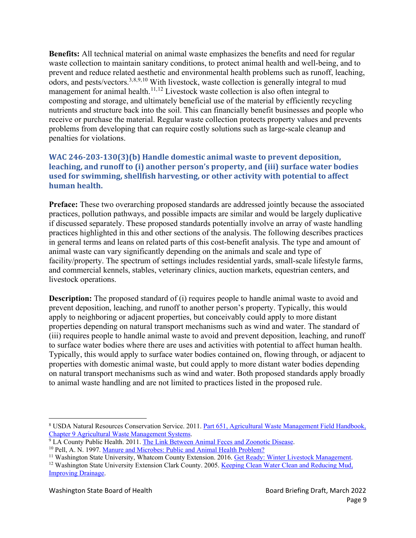<span id="page-9-5"></span>**Benefits:** All technical material on animal waste emphasizes the benefits and need for regular waste collection to maintain sanitary conditions, to protect animal health and well-being, and to prevent and reduce related aesthetic and environmental health problems such as runoff, leaching, odors, and pests/vectors.<sup>[3,](#page-4-2)[8](#page-9-0),[9](#page-9-1),[10](#page-9-2)</sup> With livestock, waste collection is generally integral to mud management for animal health.<sup>[11,](#page-9-3)[12](#page-9-4)</sup> Livestock waste collection is also often integral to composting and storage, and ultimately beneficial use of the material by efficiently recycling nutrients and structure back into the soil. This can financially benefit businesses and people who receive or purchase the material. Regular waste collection protects property values and prevents problems from developing that can require costly solutions such as large-scale cleanup and penalties for violations.

## **WAC 246-203-130(3)(b) Handle domestic animal waste to prevent deposition, leaching, and runoff to (i) another person's property, and (iii) surface water bodies used for swimming, shellfish harvesting, or other activity with potential to affect human health.**

**Preface:** These two overarching proposed standards are addressed jointly because the associated practices, pollution pathways, and possible impacts are similar and would be largely duplicative if discussed separately. These proposed standards potentially involve an array of waste handling practices highlighted in this and other sections of the analysis. The following describes practices in general terms and leans on related parts of this cost-benefit analysis. The type and amount of animal waste can vary significantly depending on the animals and scale and type of facility/property. The spectrum of settings includes residential yards, small-scale lifestyle farms, and commercial kennels, stables, veterinary clinics, auction markets, equestrian centers, and livestock operations.

**Description:** The proposed standard of (i) requires people to handle animal waste to avoid and prevent deposition, leaching, and runoff to another person's property. Typically, this would apply to neighboring or adjacent properties, but conceivably could apply to more distant properties depending on natural transport mechanisms such as wind and water. The standard of (iii) requires people to handle animal waste to avoid and prevent deposition, leaching, and runoff to surface water bodies where there are uses and activities with potential to affect human health. Typically, this would apply to surface water bodies contained on, flowing through, or adjacent to properties with domestic animal waste, but could apply to more distant water bodies depending on natural transport mechanisms such as wind and water. Both proposed standards apply broadly to animal waste handling and are not limited to practices listed in the proposed rule.

<span id="page-9-0"></span><sup>&</sup>lt;sup>8</sup> USDA Natural Resources Conservation Service. 2011. Part 651, Agricultural [Waste Management](https://directives.sc.egov.usda.gov/OpenNonWebContent.aspx?content=31493.wba) Field Handbook, Chapter 9 Agricultural Waste [Management Systems.](https://directives.sc.egov.usda.gov/OpenNonWebContent.aspx?content=31493.wba)

<span id="page-9-1"></span><sup>&</sup>lt;sup>9</sup> LA County Public Health. 2011. [The Link Between Animal Feces and](http://publichealth.lacounty.gov/vet/docs/Educ/AnimalFecesandDisease.pdf) Zoonotic Disease.

<span id="page-9-2"></span><sup>10</sup> Pell, A. N. 1997. Manure and Microbes: [Public and Animal Health Problem?](https://www.ncbi.nlm.nih.gov/pmc/articles/PMC7130904/pdf/main.pdf)

<span id="page-9-3"></span><sup>&</sup>lt;sup>11</sup> Washington State University, Whatcom County Extension. 2016. [Get Ready: Winter Livestock Management.](https://extension.wsu.edu/wam/get-ready-winter-livestock-management/)

<span id="page-9-4"></span><sup>&</sup>lt;sup>12</sup> Washington State University Extension Clark County. 2005. [Keeping Clean Water Clean](https://s3.wp.wsu.edu/uploads/sites/2079/2014/02/water-diversion.pdf) and Reducing Mud, [Improving Drainage.](https://s3.wp.wsu.edu/uploads/sites/2079/2014/02/water-diversion.pdf)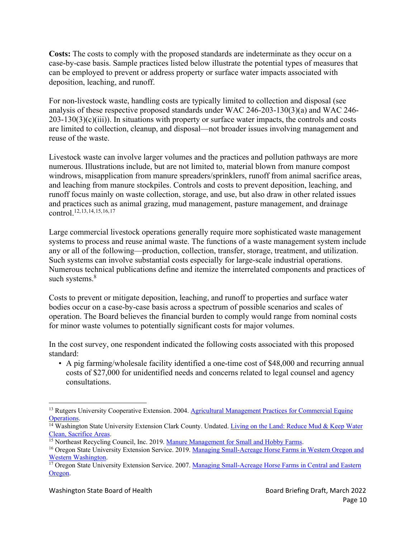**Costs:** The costs to comply with the proposed standards are indeterminate as they occur on a case-by-case basis. Sample practices listed below illustrate the potential types of measures that can be employed to prevent or address property or surface water impacts associated with deposition, leaching, and runoff.

For non-livestock waste, handling costs are typically limited to collection and disposal (see analysis of these respective proposed standards under WAC 246-203-130(3)(a) and WAC 246-  $203-130(3)(c)(iii)$ ). In situations with property or surface water impacts, the controls and costs are limited to collection, cleanup, and disposal—not broader issues involving management and reuse of the waste.

Livestock waste can involve larger volumes and the practices and pollution pathways are more numerous. Illustrations include, but are not limited to, material blown from manure compost windrows, misapplication from manure spreaders/sprinklers, runoff from animal sacrifice areas, and leaching from manure stockpiles. Controls and costs to prevent deposition, leaching, and runoff focus mainly on waste collection, storage, and use, but also draw in other related issues and practices such as animal grazing, mud management, pasture management, and drainage control. 12,[13,](#page-10-0)[14](#page-10-1),[15,](#page-10-2)[16](#page-10-3),[17](#page-10-4)

<span id="page-10-6"></span><span id="page-10-5"></span>Large commercial livestock operations generally require more sophisticated waste management systems to process and reuse animal waste. The functions of a waste management system include any or all of the following—production, collection, transfer, storage, treatment, and utilization. Such systems can involve substantial costs especially for large-scale industrial operations. Numerous technical publications define and itemize the interrelated components and practices of such systems. [8](#page-9-5)

Costs to prevent or mitigate deposition, leaching, and runoff to properties and surface water bodies occur on a case-by-case basis across a spectrum of possible scenarios and scales of operation. The Board believes the financial burden to comply would range from nominal costs for minor waste volumes to potentially significant costs for major volumes.

In the cost survey, one respondent indicated the following costs associated with this proposed standard:

• A pig farming/wholesale facility identified a one-time cost of \$48,000 and recurring annual costs of \$27,000 for unidentified needs and concerns related to legal counsel and agency consultations.

<span id="page-10-0"></span><sup>&</sup>lt;sup>13</sup> Rutgers University Cooperative Extension. 2004[. Agricultural Management Practices for](http://lshs.tamu.edu/docs/lshs/end-notes/rce%20agricultural%20management%20practices%20for%20commercial%20equine%20operations-1197928475/rce%20agricultural%20management%20practices%20for%20commercial%20equine%20operations.pdf) Commercial Equine

<span id="page-10-1"></span>[Operations.](http://lshs.tamu.edu/docs/lshs/end-notes/rce%20agricultural%20management%20practices%20for%20commercial%20equine%20operations-1197928475/rce%20agricultural%20management%20practices%20for%20commercial%20equine%20operations.pdf)<br><sup>14</sup> Washington State University Extension Clark County. Undated. Living on the Land: Reduce Mud & Keep Water [Clean, Sacrifice Areas.](https://s3.wp.wsu.edu/uploads/sites/2079/2014/02/sacrifice-areas.pdf)

<span id="page-10-2"></span><sup>&</sup>lt;sup>15</sup> Northeast Recycling Council, Inc. 2019. [Manure Management for Small and Hobby Farms.](https://nerc.org/documents/manure_management/manure_management_handbook.pdf)

<span id="page-10-3"></span><sup>&</sup>lt;sup>16</sup> Oregon State University Extension Service. 2019. [Managing Small-Acreage Horse Farms](https://catalog.extension.oregonstate.edu/sites/catalog/files/project/pdf/ec1558.pdf) in Western Oregon and [Western Washington.](https://catalog.extension.oregonstate.edu/sites/catalog/files/project/pdf/ec1558.pdf)

<span id="page-10-4"></span><sup>&</sup>lt;sup>17</sup> Oregon State University Extension Service. 2007. [Managing Small-Acreage Horse](https://catalog.extension.oregonstate.edu/sites/catalog/files/project/pdf/ec1610.pdf) Farms in Central and Eastern [Oregon.](https://catalog.extension.oregonstate.edu/sites/catalog/files/project/pdf/ec1610.pdf)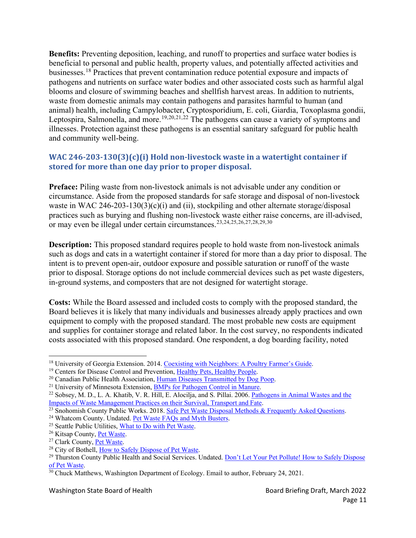**Benefits:** Preventing deposition, leaching, and runoff to properties and surface water bodies is beneficial to personal and public health, property values, and potentially affected activities and businesses.<sup>[18](#page-11-0)</sup> Practices that prevent contamination reduce potential exposure and impacts of pathogens and nutrients on surface water bodies and other associated costs such as harmful algal blooms and closure of swimming beaches and shellfish harvest areas. In addition to nutrients, waste from domestic animals may contain pathogens and parasites harmful to human (and animal) health, including Campylobacter, Cryptosporidium, E. coli, Giardia, Toxoplasma gondii, Leptospira, Salmonella, and more.<sup>[19,](#page-11-1)[20](#page-11-2),[21,](#page-11-3)[22](#page-11-4)</sup> The pathogens can cause a variety of symptoms and illnesses. Protection against these pathogens is an essential sanitary safeguard for public health and community well-being.

## <span id="page-11-17"></span><span id="page-11-14"></span><span id="page-11-13"></span>**WAC 246-203-130(3)(c)(i) Hold non-livestock waste in a watertight container if stored for more than one day prior to proper disposal.**

**Preface:** Piling waste from non-livestock animals is not advisable under any condition or circumstance. Aside from the proposed standards for safe storage and disposal of non-livestock waste in WAC 246-203-130(3)(c)(i) and (ii), stockpiling and other alternate storage/disposal practices such as burying and flushing non-livestock waste either raise concerns, are ill-advised, or may even be illegal under certain circumstances. [23](#page-11-5),[24,](#page-11-6)[25](#page-11-7),[26,](#page-11-8)[27](#page-11-9),[28,](#page-11-10)[29](#page-11-11),[30](#page-11-12)

<span id="page-11-16"></span><span id="page-11-15"></span>**Description:** This proposed standard requires people to hold waste from non-livestock animals such as dogs and cats in a watertight container if stored for more than a day prior to disposal. The intent is to prevent open-air, outdoor exposure and possible saturation or runoff of the waste prior to disposal. Storage options do not include commercial devices such as pet waste digesters, in-ground systems, and composters that are not designed for watertight storage.

**Costs:** While the Board assessed and included costs to comply with the proposed standard, the Board believes it is likely that many individuals and businesses already apply practices and own equipment to comply with the proposed standard. The most probable new costs are equipment and supplies for container storage and related labor. In the cost survey, no respondents indicated costs associated with this proposed standard. One respondent, a dog boarding facility, noted

<span id="page-11-0"></span><sup>&</sup>lt;sup>18</sup> University of Georgia Extension. 2014. [Coexisting with Neighbors: A](https://secure.caes.uga.edu/extension/publications/files/pdf/B%201263_5.PDF) Poultry Farmer's Guide.

<span id="page-11-1"></span><sup>&</sup>lt;sup>19</sup> Centers for Disease Control and Prevention, [Healthy Pets, Healthy People.](https://www.cdc.gov/healthypets/index.html)

<span id="page-11-2"></span><sup>&</sup>lt;sup>20</sup> Canadian Public Health Association, Human [Diseases Transmitted by Dog Poop.](https://www.cpha.ca/human-diseases-transmitted-dog-poop)

<span id="page-11-3"></span><sup>&</sup>lt;sup>21</sup> University of Minnesota Extension, [BMPs for Pathogen Control in Manure.](https://extension.umn.edu/manure-management/pathogen-control-manure)

<span id="page-11-4"></span><sup>&</sup>lt;sup>22</sup> Sobsey, M. D., L. A. Khatib, V. R. Hill, E. Alocilja, and S. Pillai. 2006. [Pathogens in Animal Wastes and the](https://fyi.extension.wisc.edu/manureirrigation/files/2014/03/ASABE_2006_Pathogens-in-Animal-Wastes-and-Impacts-of-Waste-Management-Practices.pdf) Impacts [of Waste Management Practices on](https://fyi.extension.wisc.edu/manureirrigation/files/2014/03/ASABE_2006_Pathogens-in-Animal-Wastes-and-Impacts-of-Waste-Management-Practices.pdf) their Survival, Transport and Fate.

<span id="page-11-5"></span><sup>&</sup>lt;sup>23</sup> Snohomish County Public Works. 2018. [Safe Pet Waste Disposal Methods &](https://snohomishcountywa.gov/DocumentCenter/View/53234/PetWaste_Outreach_FAQs_2018) Frequently Asked Questions.

<span id="page-11-7"></span><span id="page-11-6"></span><sup>&</sup>lt;sup>24</sup> Whatcom County. Undated. <u>Pet Waste FAQs and Myth Busters</u>.<br><sup>25</sup> Seattle Public Utilities, [What to Do with Pet Waste.](http://www.seattle.gov/utilities/protecting-our-environment/sustainability-tips/pollution-prevention/pet-waste)

<span id="page-11-8"></span><sup>&</sup>lt;sup>26</sup> Kitsap County, **Pet Waste.**<br><sup>27</sup> Clark County, [Pet Waste.](https://www.kitsapgov.com/how-do-i/apply-for/pet-waste-bag-station)

<span id="page-11-10"></span><span id="page-11-9"></span><sup>&</sup>lt;sup>28</sup> City of Bothell, [How to Safely Dispose of Pet Waste.](https://www.bothellwa.gov/1824/Proper-pet-waste-disposal)

<span id="page-11-11"></span><sup>&</sup>lt;sup>29</sup> Thurston County Public Health and Social Services. Undated. [Don't Let Your Pet Pollute!](https://www.co.thurston.wa.us/health/ehrp/pdf/pet_waste_bro.pdf) How to Safely Dispose [of Pet Waste.](https://www.co.thurston.wa.us/health/ehrp/pdf/pet_waste_bro.pdf)

<span id="page-11-12"></span><sup>&</sup>lt;sup>30</sup> Chuck Matthews, Washington Department of Ecology. Email to author, February 24, 2021.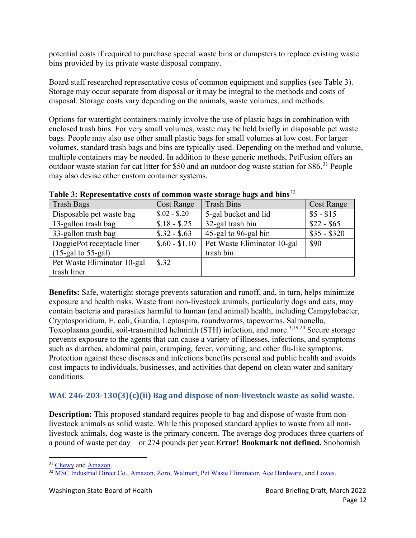potential costs if required to purchase special waste bins or dumpsters to replace existing waste bins provided by its private waste disposal company.

Board staff researched representative costs of common equipment and supplies (see Table 3). Storage may occur separate from disposal or it may be integral to the methods and costs of disposal. Storage costs vary depending on the animals, waste volumes, and methods.

Options for watertight containers mainly involve the use of plastic bags in combination with enclosed trash bins. For very small volumes, waste may be held briefly in disposable pet waste bags. People may also use other small plastic bags for small volumes at low cost. For larger volumes, standard trash bags and bins are typically used. Depending on the method and volume, multiple containers may be needed. In addition to these generic methods, PetFusion offers an outdoor waste station for cat litter for \$50 and an outdoor dog waste station for \$86.<sup>[31](#page-12-0)</sup> People may also devise other custom container systems.

| <b>Trash Bags</b>           | <b>Cost Range</b> | <b>Trash Bins</b>           | <b>Cost Range</b> |
|-----------------------------|-------------------|-----------------------------|-------------------|
| Disposable pet waste bag    | $$.02 - $.20$     | 5-gal bucket and lid        | $$5 - $15$        |
| 13-gallon trash bag         | $$.18 - $.25$     | 32-gal trash bin            | $$22 - $65$       |
| 33-gallon trash bag         | $$.32 - $.63$     | 45-gal to 96-gal bin        | $$35 - $320$      |
| DoggiePot receptacle liner  | $$.60 - $1.10$    | Pet Waste Eliminator 10-gal | \$90              |
| $(15$ -gal to 55-gal)       |                   | trash bin                   |                   |
| Pet Waste Eliminator 10-gal | \$.32             |                             |                   |
| trash liner                 |                   |                             |                   |

**Table 3: Representative costs of common waste storage bags and bins**[32](#page-12-1)

**Benefits:** Safe, watertight storage prevents saturation and runoff, and, in turn, helps minimize exposure and health risks. Waste from non-livestock animals, particularly dogs and cats, may contain bacteria and parasites harmful to human (and animal) health, including Campylobacter, Cryptosporidium, E. coli, Giardia, Leptospira, roundworms, tapeworms, Salmonella, Toxoplasma gondii, soil-transmitted helminth (STH) infection, and more. [3,](#page-4-3)[19,](#page-11-13)[20](#page-11-14) Secure storage prevents exposure to the agents that can cause a variety of illnesses, infections, and symptoms such as diarrhea, abdominal pain, cramping, fever, vomiting, and other flu-like symptoms. Protection against these diseases and infections benefits personal and public health and avoids cost impacts to individuals, businesses, and activities that depend on clean water and sanitary conditions.

## **WAC 246-203-130(3)(c)(ii) Bag and dispose of non-livestock waste as solid waste.**

**Description:** This proposed standard requires people to bag and dispose of waste from nonlivestock animals as solid waste. While this proposed standard applies to waste from all nonlivestock animals, dog waste is the primary concern. The average dog produces three quarters of a pound of waste per day—or 274 pounds per year.**Error! Bookmark not defined.** Snohomish

<span id="page-12-0"></span><sup>&</sup>lt;sup>31</sup> [Chewy](https://www.chewy.com/) and [Amazon.](https://www.amazon.com/)

<span id="page-12-1"></span><sup>&</sup>lt;sup>32</sup> [MSC Industrial Direct Co.,](https://www.mscdirect.com/) [Amazon,](https://www.amazon.com/) [Zoro,](https://www.zoro.com/) [Walmart,](https://www.walmart.com/) [Pet Waste Eliminator,](https://www.petwasteeliminator.com/) [Ace Hardware,](https://www.acehardware.com/) and [Lowes.](https://www.lowes.com/)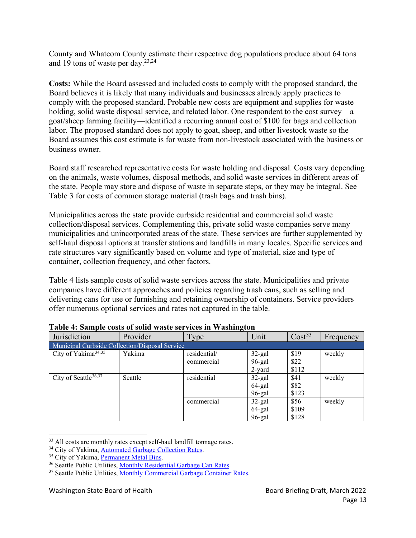County and Whatcom County estimate their respective dog populations produce about 64 tons and 19 tons of waste per day.<sup>[23,](#page-11-15)[24](#page-11-16)</sup>

**Costs:** While the Board assessed and included costs to comply with the proposed standard, the Board believes it is likely that many individuals and businesses already apply practices to comply with the proposed standard. Probable new costs are equipment and supplies for waste holding, solid waste disposal service, and related labor. One respondent to the cost survey—a goat/sheep farming facility—identified a recurring annual cost of \$100 for bags and collection labor. The proposed standard does not apply to goat, sheep, and other livestock waste so the Board assumes this cost estimate is for waste from non-livestock associated with the business or business owner.

Board staff researched representative costs for waste holding and disposal. Costs vary depending on the animals, waste volumes, disposal methods, and solid waste services in different areas of the state. People may store and dispose of waste in separate steps, or they may be integral. See Table 3 for costs of common storage material (trash bags and trash bins).

Municipalities across the state provide curbside residential and commercial solid waste collection/disposal services. Complementing this, private solid waste companies serve many municipalities and unincorporated areas of the state. These services are further supplemented by self-haul disposal options at transfer stations and landfills in many locales. Specific services and rate structures vary significantly based on volume and type of material, size and type of container, collection frequency, and other factors.

Table 4 lists sample costs of solid waste services across the state. Municipalities and private companies have different approaches and policies regarding trash cans, such as selling and delivering cans for use or furnishing and retaining ownership of containers. Service providers offer numerous optional services and rates not captured in the table.

| Jurisdiction                                   | Provider | Type         | Unit      | Cost <sup>33</sup> | Frequency |
|------------------------------------------------|----------|--------------|-----------|--------------------|-----------|
| Municipal Curbside Collection/Disposal Service |          |              |           |                    |           |
| City of Yakima <sup>34,35</sup>                | Yakima   | residential/ | $32$ -gal | \$19               | weekly    |
|                                                |          | commercial   | 96-gal    | \$22               |           |
|                                                |          |              | 2-yard    | \$112              |           |
| City of Seattle <sup>36,37</sup>               | Seattle  | residential  | $32$ -gal | \$41               | weekly    |
|                                                |          |              | 64-gal    | \$82               |           |
|                                                |          |              | $96$ -gal | \$123              |           |
|                                                |          | commercial   | $32$ -gal | \$56               | weekly    |
|                                                |          |              | 64-gal    | \$109              |           |
|                                                |          |              | $96$ -gal | \$128              |           |

#### **Table 4: Sample costs of solid waste services in Washington**

<span id="page-13-0"></span><sup>&</sup>lt;sup>33</sup> All costs are monthly rates except self-haul landfill tonnage rates.

<span id="page-13-1"></span><sup>&</sup>lt;sup>34</sup> City of Yakima, **Automated Garbage Collection Rates**.<br><sup>35</sup> City of Yakima, <u>Permanent Metal Bins</u>.

<span id="page-13-3"></span><span id="page-13-2"></span><sup>&</sup>lt;sup>36</sup> Seattle Public Utilities, [Monthly Residential Garbage Can Rates.](http://www.seattle.gov/utilities/your-services/accounts-and-payments/rates/collection-and-disposal/garbage-rates)

<span id="page-13-4"></span><sup>&</sup>lt;sup>37</sup> Seattle Public Utilities, [Monthly Commercial Garbage](http://www.seattle.gov/utilities/your-services/accounts-and-payments/rates/collection-and-disposal/garbage-rates/commercial-garbage-rates) Container Rates.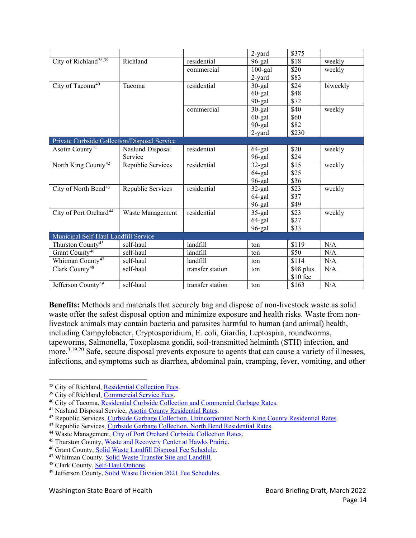|                                              |                   |                  | 2-yard     | \$375     |          |
|----------------------------------------------|-------------------|------------------|------------|-----------|----------|
| City of Richland <sup>38,39</sup>            | Richland          | residential      | 96-gal     | \$18      | weekly   |
|                                              |                   | commercial       | $100$ -gal | \$20      | weekly   |
|                                              |                   |                  | 2-yard     | \$83      |          |
| City of Tacoma <sup>40</sup>                 | Tacoma            | residential      | $30$ -gal  | \$24      | biweekly |
|                                              |                   |                  | $60$ -gal  | \$48      |          |
|                                              |                   |                  | 90-gal     | \$72      |          |
|                                              |                   | commercial       | $30$ -gal  | \$40      | weekly   |
|                                              |                   |                  | $60$ -gal  | \$60      |          |
|                                              |                   |                  | 90-gal     | \$82      |          |
|                                              |                   |                  | 2-yard     | \$230     |          |
| Private Curbside Collection/Disposal Service |                   |                  |            |           |          |
| Asotin County <sup>41</sup>                  | Naslund Disposal  | residential      | 64-gal     | \$20      | weekly   |
|                                              | Service           |                  | 96-gal     | \$24      |          |
| North King County <sup>42</sup>              | Republic Services | residential      | $32$ -gal  | \$15      | weekly   |
|                                              |                   |                  | 64-gal     | \$25      |          |
|                                              |                   |                  | 96-gal     | \$36      |          |
| City of North Bend <sup>43</sup>             | Republic Services | residential      | $32$ -gal  | \$23      | weekly   |
|                                              |                   |                  | 64-gal     | \$37      |          |
|                                              |                   |                  | 96-gal     | \$49      |          |
| City of Port Orchard <sup>44</sup>           | Waste Management  | residential      | $35$ -gal  | \$23      | weekly   |
|                                              |                   |                  | 64-gal     | \$27      |          |
|                                              |                   |                  | 96-gal     | \$33      |          |
| Municipal Self-Haul Landfill Service         |                   |                  |            |           |          |
| Thurston County <sup>45</sup>                | self-haul         | landfill         | ton        | \$119     | N/A      |
| Grant County <sup>46</sup>                   | self-haul         | landfill         | ton        | \$50      | N/A      |
| Whitman County <sup>47</sup>                 | self-haul         | landfill         | ton        | \$114     | N/A      |
| Clark County <sup>48</sup>                   | self-haul         | transfer station | ton        | \$98 plus | N/A      |
|                                              |                   |                  |            | \$10 fee  |          |
| Jefferson County <sup>49</sup>               | self-haul         | transfer station | ton        | \$163     | N/A      |

**Benefits:** Methods and materials that securely bag and dispose of non-livestock waste as solid waste offer the safest disposal option and minimize exposure and health risks. Waste from nonlivestock animals may contain bacteria and parasites harmful to human (and animal) health, including Campylobacter, Cryptosporidium, E. coli, Giardia, Leptospira, roundworms, tapeworms, Salmonella, Toxoplasma gondii, soil-transmitted helminth (STH) infection, and more.<sup>[3,](#page-4-3)[19,](#page-11-13)[20](#page-11-14)</sup> Safe, secure disposal prevents exposure to agents that can cause a variety of illnesses, infections, and symptoms such as diarrhea, abdominal pain, cramping, fever, vomiting, and other

<span id="page-14-0"></span><sup>&</sup>lt;sup>38</sup> City of Richland, [Residential Collection](https://www.ci.richland.wa.us/departments/public-works/solid-waste-utility/solid-waste-rates/residential-collection-fees) Fees.

<sup>&</sup>lt;sup>39</sup> City of Richland, [Commercial Service Fees.](https://www.ci.richland.wa.us/departments/public-works/solid-waste-utility/solid-waste-rates/commercial-service-fees)

<span id="page-14-2"></span><span id="page-14-1"></span><sup>40</sup> City of Tacoma, [Residential Curbside Collection and Commercial Garbage Rates.](https://www.cityoftacoma.org/cms/One.aspx?portalId=169&pageId=53551)

<span id="page-14-3"></span><sup>&</sup>lt;sup>41</sup> Naslund Disposal Service, [Asotin County Residential Rates.](http://www.naslunddisposalservice.com/asotin-county.html)

<span id="page-14-4"></span><sup>&</sup>lt;sup>42</sup> Republic Services, [Curbside Garbage Collection, Unincorporated North King County Residential](https://www.republicservices.com/cms/documents/municipality/Washington/N-KINGCOUNTY-4172/Uni-N-King-Co-Rates_8.1.2020.pdf) Rates.

<span id="page-14-5"></span><sup>&</sup>lt;sup>43</sup> Republic Services, [Curbside Garbage Collection, North Bend](https://www.republicservices.com/cms/documents/municipality/Washington/2021-North-Bend-Residential-Rates.pdf) Residential Rates.

<span id="page-14-7"></span><span id="page-14-6"></span><sup>&</sup>lt;sup>44</sup> Waste Management, City of Port Orchard [Curbside Collection Rates.](https://www.wmnorthwest.com/portorchard/service.html)

<sup>&</sup>lt;sup>45</sup> Thurston County, Waste and Recovery Center at [Hawks Prairie.](https://www.co.thurston.wa.us/solidwaste/garbage/garbage-warc.html)

<sup>&</sup>lt;sup>46</sup> Grant County, Solid Waste [Landfill Disposal Fee Schedule.](https://www.grantcountywa.gov/DocumentCenter/View/672/Disposal-Fee-Schedule-PDF)

<span id="page-14-9"></span><span id="page-14-8"></span><sup>47</sup> Whitman County, [Solid Waste Transfer Site and Landfill.](https://whitmancounty.org/DocumentCenter/View/775/2021-Landfill-Rates-PDF)

<span id="page-14-10"></span><sup>48</sup> Clark County, [Self-Haul Options.](https://clark.wa.gov/public-health/self-haul-options)

<span id="page-14-11"></span><sup>49</sup> Jefferson County, [Solid Waste Division 2021 Fee](https://solidwaste.files.wordpress.com/2020/12/2021_sw_fees_to_post.pdf) Schedules.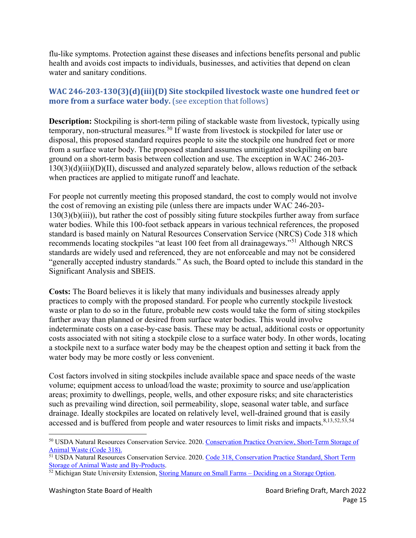flu-like symptoms. Protection against these diseases and infections benefits personal and public health and avoids cost impacts to individuals, businesses, and activities that depend on clean water and sanitary conditions.

## **WAC 246-203-130(3)(d)(iii)(D) Site stockpiled livestock waste one hundred feet or more from a surface water body.** (see exception that follows)

<span id="page-15-4"></span>**Description:** Stockpiling is short-term piling of stackable waste from livestock, typically using temporary, non-structural measures.<sup>[50](#page-15-0)</sup> If waste from livestock is stockpiled for later use or disposal, this proposed standard requires people to site the stockpile one hundred feet or more from a surface water body. The proposed standard assumes unmitigated stockpiling on bare ground on a short-term basis between collection and use. The exception in WAC 246-203-  $130(3)(d)(iii)(D)(II)$ , discussed and analyzed separately below, allows reduction of the setback when practices are applied to mitigate runoff and leachate.

For people not currently meeting this proposed standard, the cost to comply would not involve the cost of removing an existing pile (unless there are impacts under WAC 246-203- 130(3)(b)(iii)), but rather the cost of possibly siting future stockpiles further away from surface water bodies. While this 100-foot setback appears in various technical references, the proposed standard is based mainly on Natural Resources Conservation Service (NRCS) Code 318 which recommends locating stockpiles "at least 100 feet from all drainageways."[51](#page-15-1) Although NRCS standards are widely used and referenced, they are not enforceable and may not be considered "generally accepted industry standards." As such, the Board opted to include this standard in the Significant Analysis and SBEIS.

**Costs:** The Board believes it is likely that many individuals and businesses already apply practices to comply with the proposed standard. For people who currently stockpile livestock waste or plan to do so in the future, probable new costs would take the form of siting stockpiles farther away than planned or desired from surface water bodies. This would involve indeterminate costs on a case-by-case basis. These may be actual, additional costs or opportunity costs associated with not siting a stockpile close to a surface water body. In other words, locating a stockpile next to a surface water body may be the cheapest option and setting it back from the water body may be more costly or less convenient.

Cost factors involved in siting stockpiles include available space and space needs of the waste volume; equipment access to unload/load the waste; proximity to source and use/application areas; proximity to dwellings, people, wells, and other exposure risks; and site characteristics such as prevailing wind direction, soil permeability, slope, seasonal water table, and surface drainage. Ideally stockpiles are located on relatively level, well-drained ground that is easily accessed and is buffered from people and water resources to limit risks and impacts.<sup>[8,](#page-9-5)[13,](#page-10-5)[52](#page-15-2),[53,](#page-15-1)[54](#page-15-3)</sup>

<span id="page-15-8"></span><span id="page-15-7"></span><span id="page-15-6"></span><span id="page-15-5"></span><span id="page-15-0"></span><sup>50</sup> USDA Natural Resources Conservation Service. 2020. Conservation Practice Overview, Short-Term Storage of Animal Waste (Code 318).

<span id="page-15-3"></span><span id="page-15-1"></span><sup>51</sup> USDA Natural Resources Conservation Service. 2020. Code 318, [Conservation Practice Standard, Short Term](https://www.nrcs.usda.gov/wps/PA_NRCSConsumption/download?cid=nrcseprd1670023&ext=pdf)  [Storage of Animal Waste and By-Products.](https://www.nrcs.usda.gov/wps/PA_NRCSConsumption/download?cid=nrcseprd1670023&ext=pdf)

<span id="page-15-2"></span><sup>&</sup>lt;sup>52</sup> Michigan State University Extension, Storing Manure on Small Farms – [Deciding on a Storage Option.](https://www.canr.msu.edu/news/storing_manure_on_small_farms_deciding_on_a_storage_option#:%7E:text=Stockpiling%20manure%20is%20essentially%20piling%20the%20solid%20manure,manure%20nutrients%20from%20leaching%20into%20the%20soil%20profile.)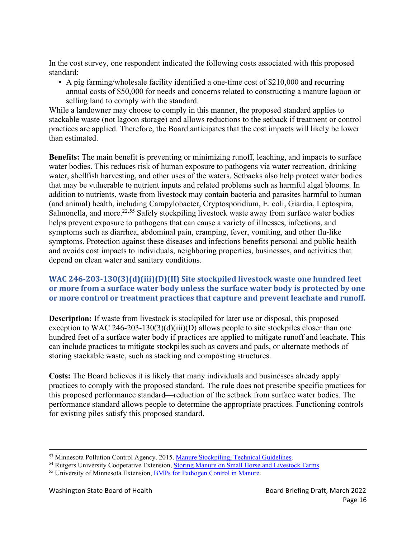In the cost survey, one respondent indicated the following costs associated with this proposed standard:

• A pig farming/wholesale facility identified a one-time cost of \$210,000 and recurring annual costs of \$50,000 for needs and concerns related to constructing a manure lagoon or selling land to comply with the standard.

While a landowner may choose to comply in this manner, the proposed standard applies to stackable waste (not lagoon storage) and allows reductions to the setback if treatment or control practices are applied. Therefore, the Board anticipates that the cost impacts will likely be lower than estimated.

**Benefits:** The main benefit is preventing or minimizing runoff, leaching, and impacts to surface water bodies. This reduces risk of human exposure to pathogens via water recreation, drinking water, shellfish harvesting, and other uses of the waters. Setbacks also help protect water bodies that may be vulnerable to nutrient inputs and related problems such as harmful algal blooms. In addition to nutrients, waste from livestock may contain bacteria and parasites harmful to human (and animal) health, including Campylobacter, Cryptosporidium, E. coli, Giardia, Leptospira, Salmonella, and more.<sup>[22,](#page-11-17)[55](#page-16-0)</sup> Safely stockpiling livestock waste away from surface water bodies helps prevent exposure to pathogens that can cause a variety of illnesses, infections, and symptoms such as diarrhea, abdominal pain, cramping, fever, vomiting, and other flu-like symptoms. Protection against these diseases and infections benefits personal and public health and avoids cost impacts to individuals, neighboring properties, businesses, and activities that depend on clean water and sanitary conditions.

## **WAC 246-203-130(3)(d)(iii)(D)(II) Site stockpiled livestock waste one hundred feet or more from a surface water body unless the surface water body is protected by one or more control or treatment practices that capture and prevent leachate and runoff.**

**Description:** If waste from livestock is stockpiled for later use or disposal, this proposed exception to WAC 246-203-130(3)(d)(iii)(D) allows people to site stockpiles closer than one hundred feet of a surface water body if practices are applied to mitigate runoff and leachate. This can include practices to mitigate stockpiles such as covers and pads, or alternate methods of storing stackable waste, such as stacking and composting structures.

**Costs:** The Board believes it is likely that many individuals and businesses already apply practices to comply with the proposed standard. The rule does not prescribe specific practices for this proposed performance standard—reduction of the setback from surface water bodies. The performance standard allows people to determine the appropriate practices. Functioning controls for existing piles satisfy this proposed standard.

<sup>&</sup>lt;sup>53</sup> Minnesota Pollution Control Agency. 2015. Manure Stockpiling, [Technical Guidelines.](https://www.pca.state.mn.us/sites/default/files/wq-f8-06.pdf)

<sup>54</sup> Rutgers University Cooperative Extension, [Storing Manure on Small Horse and Livestock Farms.](https://njaes.rutgers.edu/fs1192/)

<span id="page-16-0"></span><sup>&</sup>lt;sup>55</sup> University of Minnesota Extension, BMPs [for Pathogen Control in](https://extension.umn.edu/manure-management/pathogen-control-manure) Manure.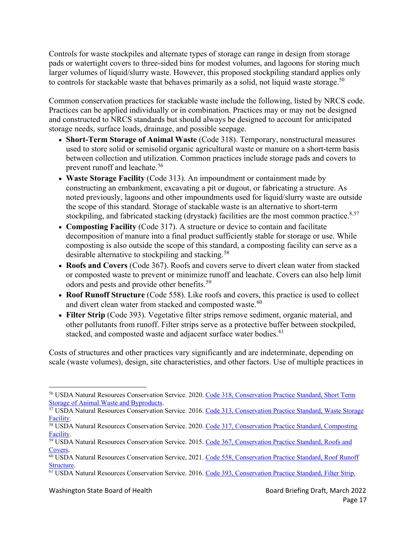Controls for waste stockpiles and alternate types of storage can range in design from storage pads or watertight covers to three-sided bins for modest volumes, and lagoons for storing much larger volumes of liquid/slurry waste. However, this proposed stockpiling standard applies only to controls for stackable waste that behaves primarily as a solid, not liquid waste storage.<sup>[50](#page-15-4)</sup>

Common conservation practices for stackable waste include the following, listed by NRCS code. Practices can be applied individually or in combination. Practices may or may not be designed and constructed to NRCS standards but should always be designed to account for anticipated storage needs, surface loads, drainage, and possible seepage.

- **Short-Term Storage of Animal Waste** (Code 318). Temporary, nonstructural measures used to store solid or semisolid organic agricultural waste or manure on a short-term basis between collection and utilization. Common practices include storage pads and covers to prevent runoff and leachate. [56](#page-17-0)
- <span id="page-17-6"></span>• **Waste Storage Facility** (Code 313). An impoundment or containment made by constructing an embankment, excavating a pit or dugout, or fabricating a structure. As noted previously, lagoons and other impoundments used for liquid/slurry waste are outside the scope of this standard. Storage of stackable waste is an alternative to short-term stockpiling, and fabricated stacking (drystack) facilities are the most common practice.<sup>[8,](#page-9-5)[57](#page-17-1)</sup>
- <span id="page-17-7"></span>• **Composting Facility** (Code 317). A structure or device to contain and facilitate decomposition of manure into a final product sufficiently stable for storage or use. While composting is also outside the scope of this standard, a composting facility can serve as a desirable alternative to stockpiling and stacking.<sup>[58](#page-17-2)</sup>
- <span id="page-17-8"></span>• **Roofs and Covers** (Code 367). Roofs and covers serve to divert clean water from stacked or composted waste to prevent or minimize runoff and leachate. Covers can also help limit odors and pests and provide other benefits.<sup>[59](#page-17-3)</sup>
- **Roof Runoff Structure** (Code 558). Like roofs and covers, this practice is used to collect and divert clean water from stacked and composted waste. $^{60}$  $^{60}$  $^{60}$
- **Filter Strip** (Code 393). Vegetative filter strips remove sediment, organic material, and other pollutants from runoff. Filter strips serve as a protective buffer between stockpiled, stacked, and composted waste and adjacent surface water bodies.<sup>[61](#page-17-5)</sup>

Costs of structures and other practices vary significantly and are indeterminate, depending on scale (waste volumes), design, site characteristics, and other factors. Use of multiple practices in

<span id="page-17-0"></span><sup>56</sup> USDA Natural Resources Conservation Service. 2020. Code 318, [Conservation Practice Standard, Short Term](https://www.nrcs.usda.gov/wps/PA_NRCSConsumption/download?cid=nrcseprd1670023&ext=pdf) [Storage of Animal Waste](https://www.nrcs.usda.gov/wps/PA_NRCSConsumption/download?cid=nrcseprd1670023&ext=pdf) and Byproducts.

<span id="page-17-1"></span><sup>&</sup>lt;sup>57</sup> USDA Natural Resources Conservation Service. 2016. Code 313, Conservation Practice Standard, Waste Storage [Facility.](https://www.nrcs.usda.gov/wps/PA_NRCSConsumption/download?cid=stelprdb1254945&ext=pdf)

<span id="page-17-2"></span><sup>&</sup>lt;sup>58</sup> USDA Natural Resources Conservation Service. 2020. Code 317, Conservation Practice Standard, Composting [Facility.](https://www.nrcs.usda.gov/wps/PA_NRCSConsumption/download?cid=nrcseprd1670020&ext=pdf)

<span id="page-17-3"></span><sup>&</sup>lt;sup>59</sup> USDA Natural Resources Conservation Service. 2015. Code 367, Conservation Practice Standard, Roofs and [Covers.](https://www.nrcs.usda.gov/wps/PA_NRCSConsumption/download?cid=nrcseprd340709&ext=pdf)

<span id="page-17-4"></span><sup>60</sup> USDA Natural Resources Conservation Service, 2021. [Code 558, Conservation Practice](https://www.nrcs.usda.gov/wps/PA_NRCSConsumption/download?cid=nrcseprd1822444&ext=pdf) Standard, Roof Runoff [Structure.](https://www.nrcs.usda.gov/wps/PA_NRCSConsumption/download?cid=nrcseprd1822444&ext=pdf)

<span id="page-17-5"></span><sup>61</sup> USDA Natural Resources Conservation Service. 2016. Code 393, [Conservation Practice Standard, Filter Strip.](https://www.nrcs.usda.gov/Internet/FSE_DOCUMENTS/stelprdb1241319.pdf)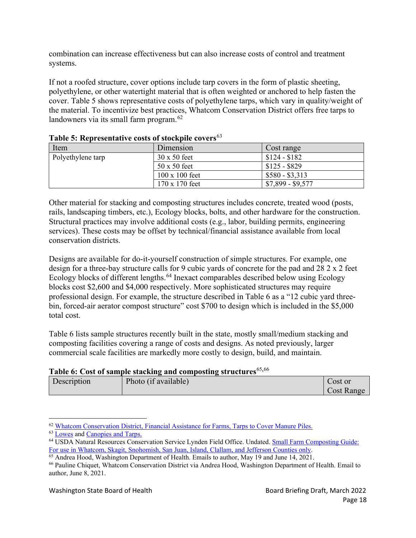combination can increase effectiveness but can also increase costs of control and treatment systems.

If not a roofed structure, cover options include tarp covers in the form of plastic sheeting, polyethylene, or other watertight material that is often weighted or anchored to help fasten the cover. Table 5 shows representative costs of polyethylene tarps, which vary in quality/weight of the material. To incentivize best practices, Whatcom Conservation District offers free tarps to landowners via its small farm program.<sup>[62](#page-18-0)</sup>

| Item              | Dimension             | Cost range        |
|-------------------|-----------------------|-------------------|
| Polyethylene tarp | $30 \times 50$ feet   | $$124 - $182$     |
|                   | $50 \times 50$ feet   | $$125 - $829$     |
|                   | $100 \times 100$ feet | $$580 - $3,313$   |
|                   | 170 x 170 feet        | $$7,899 - $9,577$ |

## **Table 5: Representative costs of stockpile covers**[63](#page-18-1)

Other material for stacking and composting structures includes concrete, treated wood (posts, rails, landscaping timbers, etc.), Ecology blocks, bolts, and other hardware for the construction. Structural practices may involve additional costs (e.g., labor, building permits, engineering services). These costs may be offset by technical/financial assistance available from local conservation districts.

Designs are available for do-it-yourself construction of simple structures. For example, one design for a three-bay structure calls for 9 cubic yards of concrete for the pad and 28 2 x 2 feet Ecology blocks of different lengths.<sup>[64](#page-18-2)</sup> Inexact comparables described below using Ecology blocks cost \$2,600 and \$4,000 respectively. More sophisticated structures may require professional design. For example, the structure described in Table 6 as a "12 cubic yard threebin, forced-air aerator compost structure" cost \$700 to design which is included in the \$5,000 total cost.

Table 6 lists sample structures recently built in the state, mostly small/medium stacking and composting facilities covering a range of costs and designs. As noted previously, larger commercial scale facilities are markedly more costly to design, build, and maintain.

## **Table 6: Cost of sample stacking and composting structures**[65](#page-18-3)**,**[66](#page-18-4)

| Description | Photo (if available) | Cost or             |
|-------------|----------------------|---------------------|
|             |                      | $\text{Cost Range}$ |

<span id="page-18-0"></span><sup>62</sup> [Whatcom Conservation District, Financial Assistance](https://whatcomcd.org/incentives) for Farms, Tarps to Cover Manure Piles.

<span id="page-18-1"></span><sup>63</sup> [Lowes](https://www.lowes.com/) and [Canopies and Tarps.](https://www.canopiesandtarps.com/)

<span id="page-18-2"></span><sup>64</sup> USDA Natural Resources Conservation Service Lynden Field Office. Undated. Small Farm [Composting Guide:](https://www.whatcomcounty.us/DocumentCenter/View/14278/CompostNWTeam?bidId=)  [For use in Whatcom, Skagit, Snohomish, San Juan, Island,](https://www.whatcomcounty.us/DocumentCenter/View/14278/CompostNWTeam?bidId=) Clallam, and Jefferson Counties only.

<span id="page-18-3"></span> $\overline{65}$  Andrea Hood, Washington Department of Health. Emails to author, May 19 and June 14, 2021.

<span id="page-18-4"></span><sup>66</sup> Pauline Chiquet, Whatcom Conservation District via Andrea Hood, Washington Department of Health. Email to author, June 8, 2021.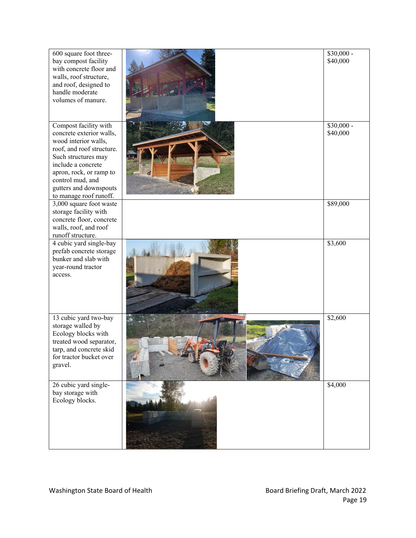| 600 square foot three-<br>bay compost facility<br>with concrete floor and<br>walls, roof structure,<br>and roof, designed to<br>handle moderate<br>volumes of manure.                                                                                  | $$30,000 -$<br>\$40,000 |
|--------------------------------------------------------------------------------------------------------------------------------------------------------------------------------------------------------------------------------------------------------|-------------------------|
| Compost facility with<br>concrete exterior walls,<br>wood interior walls,<br>roof, and roof structure.<br>Such structures may<br>include a concrete<br>apron, rock, or ramp to<br>control mud, and<br>gutters and downspouts<br>to manage roof runoff. | $$30,000 -$<br>\$40,000 |
| 3,000 square foot waste<br>storage facility with<br>concrete floor, concrete<br>walls, roof, and roof<br>runoff structure.                                                                                                                             | \$89,000                |
| 4 cubic yard single-bay<br>prefab concrete storage<br>bunker and slab with<br>year-round tractor<br>access.                                                                                                                                            | \$3,600                 |
| 13 cubic yard two-bay<br>storage walled by<br>Ecology blocks with<br>treated wood separator,<br>tarp, and concrete skid<br>for tractor bucket over<br>gravel.                                                                                          | \$2,600                 |
| 26 cubic yard single-<br>bay storage with<br>Ecology blocks.                                                                                                                                                                                           | \$4,000                 |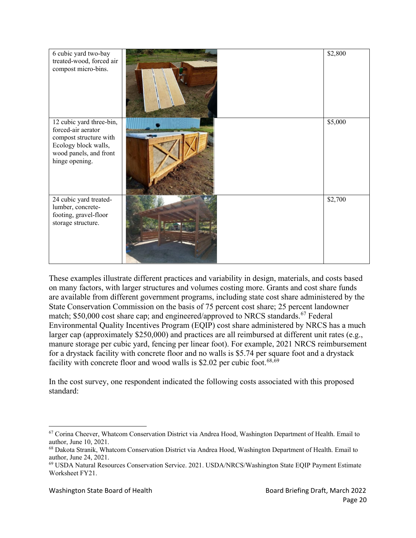| 6 cubic yard two-bay<br>treated-wood, forced air<br>compost micro-bins.                                                                      | \$2,800 |
|----------------------------------------------------------------------------------------------------------------------------------------------|---------|
| 12 cubic yard three-bin,<br>forced-air aerator<br>compost structure with<br>Ecology block walls,<br>wood panels, and front<br>hinge opening. | \$5,000 |
| 24 cubic yard treated-<br>lumber, concrete-<br>footing, gravel-floor<br>storage structure.                                                   | \$2,700 |

These examples illustrate different practices and variability in design, materials, and costs based on many factors, with larger structures and volumes costing more. Grants and cost share funds are available from different government programs, including state cost share administered by the State Conservation Commission on the basis of 75 percent cost share; 25 percent landowner match; \$50,000 cost share cap; and engineered/approved to NRCS standards.<sup>[67](#page-20-0)</sup> Federal Environmental Quality Incentives Program (EQIP) cost share administered by NRCS has a much larger cap (approximately \$250,000) and practices are all reimbursed at different unit rates (e.g., manure storage per cubic yard, fencing per linear foot). For example, 2021 NRCS reimbursement for a drystack facility with concrete floor and no walls is \$5.74 per square foot and a drystack facility with concrete floor and wood walls is \$2.02 per cubic foot.<sup>[68,](#page-20-1)[69](#page-20-2)</sup>

In the cost survey, one respondent indicated the following costs associated with this proposed standard:

<span id="page-20-0"></span><sup>&</sup>lt;sup>67</sup> Corina Cheever, Whatcom Conservation District via Andrea Hood, Washington Department of Health. Email to author, June 10, 2021.

<span id="page-20-1"></span><sup>68</sup> Dakota Stranik, Whatcom Conservation District via Andrea Hood, Washington Department of Health. Email to author, June 24, 2021.

<span id="page-20-2"></span><sup>69</sup> USDA Natural Resources Conservation Service. 2021. USDA/NRCS/Washington State EQIP Payment Estimate Worksheet FY21.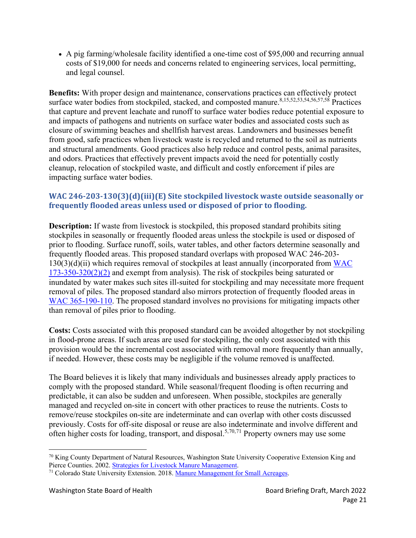• A pig farming/wholesale facility identified a one-time cost of \$95,000 and recurring annual costs of \$19,000 for needs and concerns related to engineering services, local permitting, and legal counsel.

**Benefits:** With proper design and maintenance, conservations practices can effectively protect surface water bodies from stockpiled, stacked, and composted manure.<sup>[8,](#page-9-5)[15,](#page-10-6)[52,](#page-15-5)[53,](#page-15-6)[54,](#page-15-7)[56,](#page-17-6)[57,](#page-17-7)[58](#page-17-8)</sup> Practices that capture and prevent leachate and runoff to surface water bodies reduce potential exposure to and impacts of pathogens and nutrients on surface water bodies and associated costs such as closure of swimming beaches and shellfish harvest areas. Landowners and businesses benefit from good, safe practices when livestock waste is recycled and returned to the soil as nutrients and structural amendments. Good practices also help reduce and control pests, animal parasites, and odors. Practices that effectively prevent impacts avoid the need for potentially costly cleanup, relocation of stockpiled waste, and difficult and costly enforcement if piles are impacting surface water bodies.

## **WAC 246-203-130(3)(d)(iii)(E) Site stockpiled livestock waste outside seasonally or frequently flooded areas unless used or disposed of prior to flooding.**

**Description:** If waste from livestock is stockpiled, this proposed standard prohibits siting stockpiles in seasonally or frequently flooded areas unless the stockpile is used or disposed of prior to flooding. Surface runoff, soils, water tables, and other factors determine seasonally and frequently flooded areas. This proposed standard overlaps with proposed WAC 246-203-  $130(3)(d)(ii)$  which requires removal of stockpiles at least annually (incorporated from WAC [173-350-320\(2\)\(2\)](https://apps.leg.wa.gov/WAC/default.aspx?cite=173-350-320) and exempt from analysis). The risk of stockpiles being saturated or inundated by water makes such sites ill-suited for stockpiling and may necessitate more frequent removal of piles. The proposed standard also mirrors protection of frequently flooded areas in [WAC 365-190-110.](https://apps.leg.wa.gov/wac/default.aspx?cite=365-190-110) The proposed standard involves no provisions for mitigating impacts other than removal of piles prior to flooding.

**Costs:** Costs associated with this proposed standard can be avoided altogether by not stockpiling in flood-prone areas. If such areas are used for stockpiling, the only cost associated with this provision would be the incremental cost associated with removal more frequently than annually, if needed. However, these costs may be negligible if the volume removed is unaffected.

The Board believes it is likely that many individuals and businesses already apply practices to comply with the proposed standard. While seasonal/frequent flooding is often recurring and predictable, it can also be sudden and unforeseen. When possible, stockpiles are generally managed and recycled on-site in concert with other practices to reuse the nutrients. Costs to remove/reuse stockpiles on-site are indeterminate and can overlap with other costs discussed previously. Costs for off-site disposal or reuse are also indeterminate and involve different and often higher costs for loading, transport, and disposal. [5,](#page-8-3)[70](#page-21-0),[71](#page-21-1) Property owners may use some

<span id="page-21-0"></span> $70$  King County Department of Natural Resources, Washington State University Cooperative Extension King and Pierce Counties. 2002. [Strategies for Livestock Manure Management.](https://kingcounty.gov/%7E/media/depts/dnrp/solid-waste/natural-yard-care/documents/final_manure.ashx?la=en)

<span id="page-21-1"></span><sup>&</sup>lt;sup>71</sup> Colorado State University Extension. 2018. [Manure Management for Small Acreages.](https://sam.extension.colostate.edu/wp-content/uploads/sites/2/2018/07/manure-mgt.pdf)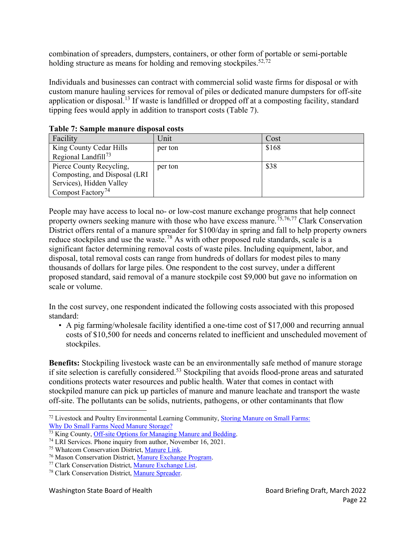combination of spreaders, dumpsters, containers, or other form of portable or semi-portable holding structure as means for holding and removing stockpiles.<sup>[52,](#page-15-8)[72](#page-22-0)</sup>

Individuals and businesses can contract with commercial solid waste firms for disposal or with custom manure hauling services for removal of piles or dedicated manure dumpsters for off-site application or disposal.<sup>[13](#page-10-5)</sup> If waste is landfilled or dropped off at a composting facility, standard tipping fees would apply in addition to transport costs (Table 7).

| таріс 7, башріс шапагс аврозаг созіз |         |       |  |  |
|--------------------------------------|---------|-------|--|--|
| Facility                             | Unit    | Cost  |  |  |
| King County Cedar Hills              | per ton | \$168 |  |  |
| Regional Landfill <sup>73</sup>      |         |       |  |  |
| Pierce County Recycling,             | per ton | \$38  |  |  |
| Composting, and Disposal (LRI)       |         |       |  |  |
| Services), Hidden Valley             |         |       |  |  |
| Compost Factory <sup>74</sup>        |         |       |  |  |

**Table 7: Sample manure disposal costs**

People may have access to local no- or low-cost manure exchange programs that help connect property owners seeking manure with those who have excess manure.<sup>[75,](#page-22-3)[76](#page-22-4),[77](#page-22-5)</sup> Clark Conservation District offers rental of a manure spreader for \$100/day in spring and fall to help property owners reduce stockpiles and use the waste.<sup>[78](#page-22-6)</sup> As with other proposed rule standards, scale is a significant factor determining removal costs of waste piles. Including equipment, labor, and disposal, total removal costs can range from hundreds of dollars for modest piles to many thousands of dollars for large piles. One respondent to the cost survey, under a different proposed standard, said removal of a manure stockpile cost \$9,000 but gave no information on scale or volume.

In the cost survey, one respondent indicated the following costs associated with this proposed standard:

• A pig farming/wholesale facility identified a one-time cost of \$17,000 and recurring annual costs of \$10,500 for needs and concerns related to inefficient and unscheduled movement of stockpiles.

**Benefits:** Stockpiling livestock waste can be an environmentally safe method of manure storage if site selection is carefully considered.<sup>[53](#page-15-6)</sup> Stockpiling that avoids flood-prone areas and saturated conditions protects water resources and public health. Water that comes in contact with stockpiled manure can pick up particles of manure and manure leachate and transport the waste off-site. The pollutants can be solids, nutrients, pathogens, or other contaminants that flow

<span id="page-22-0"></span><sup>&</sup>lt;sup>72</sup> Livestock and Poultry Environmental Learning Community, [Storing Manure on Small Farms:](https://lpelc.org/storing-manure-on-small-farms/) Why Do Small Farms [Need Manure Storage?](https://lpelc.org/storing-manure-on-small-farms/)

<span id="page-22-1"></span><sup>&</sup>lt;sup>73</sup> King County, [Off-site Options for Managing Manure and Bedding.](https://kingcounty.gov/services/environment/water-and-land/agriculture/manure-management/off-site.aspx)

<span id="page-22-2"></span><sup>74</sup> LRI Services. Phone inquiry from author, November 16, 2021.

<span id="page-22-3"></span><sup>75</sup> Whatcom Conservation District, [Manure](https://whatcomcd.org/manure-link) Link.

<span id="page-22-4"></span><sup>76</sup> Mason Conservation District[, Manure Exchange Program.](https://www.masoncd.org/manure.html)

<span id="page-22-5"></span><sup>77</sup> Clark Conservation District[, Manure Exchange](https://clarkcd.org/manure-exchange/) List.

<span id="page-22-6"></span><sup>78</sup> Clark Conservation District[, Manure Spreader.](https://clarkcd.org/manure-spreader)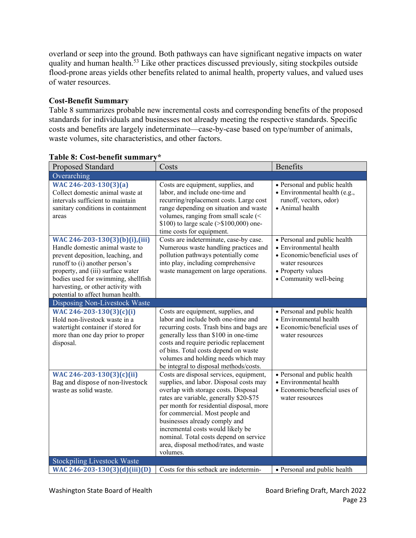overland or seep into the ground. Both pathways can have significant negative impacts on water quality and human health.<sup>[53](#page-15-6)</sup> Like other practices discussed previously, siting stockpiles outside flood-prone areas yields other benefits related to animal health, property values, and valued uses of water resources.

## **Cost-Benefit Summary**

Table 8 summarizes probable new incremental costs and corresponding benefits of the proposed standards for individuals and businesses not already meeting the respective standards. Specific costs and benefits are largely indeterminate—case-by-case based on type/number of animals, waste volumes, site characteristics, and other factors.

| <b>Proposed Standard</b>                                                                                                                                                                                                                                                                        | Costs                                                                                                                                                                                                                                                                                                                                                                                                                      | <b>Benefits</b>                                                                                                                                           |
|-------------------------------------------------------------------------------------------------------------------------------------------------------------------------------------------------------------------------------------------------------------------------------------------------|----------------------------------------------------------------------------------------------------------------------------------------------------------------------------------------------------------------------------------------------------------------------------------------------------------------------------------------------------------------------------------------------------------------------------|-----------------------------------------------------------------------------------------------------------------------------------------------------------|
| Overarching                                                                                                                                                                                                                                                                                     |                                                                                                                                                                                                                                                                                                                                                                                                                            |                                                                                                                                                           |
| WAC 246-203-130(3)(a)<br>Collect domestic animal waste at<br>intervals sufficient to maintain<br>sanitary conditions in containment<br>areas                                                                                                                                                    | Costs are equipment, supplies, and<br>labor, and include one-time and<br>recurring/replacement costs. Large cost<br>range depending on situation and waste<br>volumes, ranging from small scale (<<br>\$100) to large scale ( $>$ \$100,000) one-<br>time costs for equipment.                                                                                                                                             | • Personal and public health<br>• Environmental health (e.g.,<br>runoff, vectors, odor)<br>• Animal health                                                |
| WAC 246-203-130(3)(b)(i),(iii)<br>Handle domestic animal waste to<br>prevent deposition, leaching, and<br>runoff to (i) another person's<br>property, and (iii) surface water<br>bodies used for swimming, shellfish<br>harvesting, or other activity with<br>potential to affect human health. | Costs are indeterminate, case-by case.<br>Numerous waste handling practices and<br>pollution pathways potentially come<br>into play, including comprehensive<br>waste management on large operations.                                                                                                                                                                                                                      | • Personal and public health<br>• Environmental health<br>• Economic/beneficial uses of<br>water resources<br>• Property values<br>• Community well-being |
| Disposing Non-Livestock Waste                                                                                                                                                                                                                                                                   |                                                                                                                                                                                                                                                                                                                                                                                                                            |                                                                                                                                                           |
| WAC 246-203-130(3)(c)(i)<br>Hold non-livestock waste in a<br>watertight container if stored for<br>more than one day prior to proper<br>disposal.                                                                                                                                               | Costs are equipment, supplies, and<br>labor and include both one-time and<br>recurring costs. Trash bins and bags are<br>generally less than \$100 in one-time<br>costs and require periodic replacement<br>of bins. Total costs depend on waste<br>volumes and holding needs which may<br>be integral to disposal methods/costs.                                                                                          | • Personal and public health<br>• Environmental health<br>• Economic/beneficial uses of<br>water resources                                                |
| WAC 246-203-130(3)(c)(ii)<br>Bag and dispose of non-livestock<br>waste as solid waste.                                                                                                                                                                                                          | Costs are disposal services, equipment,<br>supplies, and labor. Disposal costs may<br>overlap with storage costs. Disposal<br>rates are variable, generally \$20-\$75<br>per month for residential disposal, more<br>for commercial. Most people and<br>businesses already comply and<br>incremental costs would likely be<br>nominal. Total costs depend on service<br>area, disposal method/rates, and waste<br>volumes. | • Personal and public health<br>• Environmental health<br>• Economic/beneficial uses of<br>water resources                                                |
| <b>Stockpiling Livestock Waste</b>                                                                                                                                                                                                                                                              |                                                                                                                                                                                                                                                                                                                                                                                                                            |                                                                                                                                                           |
| WAC 246-203-130(3)(d)(iii)(D)                                                                                                                                                                                                                                                                   | Costs for this setback are indetermin-                                                                                                                                                                                                                                                                                                                                                                                     | • Personal and public health                                                                                                                              |

## **Table 8: Cost-benefit summary\***

Washington State Board of Health Board Board Briefing Draft, March 2022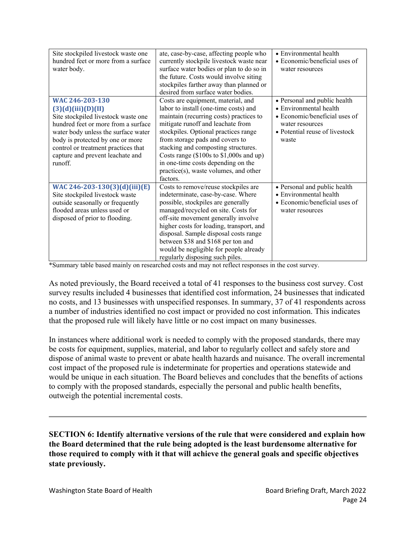| Site stockpiled livestock waste one |                                          | • Environmental health         |
|-------------------------------------|------------------------------------------|--------------------------------|
|                                     | ate, case-by-case, affecting people who  |                                |
| hundred feet or more from a surface | currently stockpile livestock waste near | • Economic/beneficial uses of  |
| water body.                         | surface water bodies or plan to do so in | water resources                |
|                                     | the future. Costs would involve siting   |                                |
|                                     | stockpiles farther away than planned or  |                                |
|                                     | desired from surface water bodies.       |                                |
| WAC 246-203-130                     | Costs are equipment, material, and       | • Personal and public health   |
| (3)(d)(iii)(D)(II)                  | labor to install (one-time costs) and    | • Environmental health         |
| Site stockpiled livestock waste one | maintain (recurring costs) practices to  | • Economic/beneficial uses of  |
| hundred feet or more from a surface | mitigate runoff and leachate from        | water resources                |
| water body unless the surface water | stockpiles. Optional practices range     | • Potential reuse of livestock |
| body is protected by one or more    | from storage pads and covers to          | waste                          |
| control or treatment practices that | stacking and composting structures.      |                                |
| capture and prevent leachate and    | Costs range (\$100s to \$1,000s and up)  |                                |
| runoff.                             | in one-time costs depending on the       |                                |
|                                     |                                          |                                |
|                                     | practice(s), waste volumes, and other    |                                |
|                                     | factors.                                 |                                |
| WAC 246-203-130(3)(d)(iii)(E)       | Costs to remove/reuse stockpiles are     | • Personal and public health   |
| Site stockpiled livestock waste     | indeterminate, case-by-case. Where       | • Environmental health         |
| outside seasonally or frequently    | possible, stockpiles are generally       | • Economic/beneficial uses of  |
| flooded areas unless used or        | managed/recycled on site. Costs for      | water resources                |
| disposed of prior to flooding.      | off-site movement generally involve      |                                |
|                                     | higher costs for loading, transport, and |                                |
|                                     | disposal. Sample disposal costs range    |                                |
|                                     | between \$38 and \$168 per ton and       |                                |
|                                     | would be negligible for people already   |                                |
|                                     | regularly disposing such piles.          |                                |

\*Summary table based mainly on researched costs and may not reflect responses in the cost survey.

As noted previously, the Board received a total of 41 responses to the business cost survey. Cost survey results included 4 businesses that identified cost information, 24 businesses that indicated no costs, and 13 businesses with unspecified responses. In summary, 37 of 41 respondents across a number of industries identified no cost impact or provided no cost information. This indicates that the proposed rule will likely have little or no cost impact on many businesses.

In instances where additional work is needed to comply with the proposed standards, there may be costs for equipment, supplies, material, and labor to regularly collect and safely store and dispose of animal waste to prevent or abate health hazards and nuisance. The overall incremental cost impact of the proposed rule is indeterminate for properties and operations statewide and would be unique in each situation. The Board believes and concludes that the benefits of actions to comply with the proposed standards, especially the personal and public health benefits, outweigh the potential incremental costs.

**SECTION 6: Identify alternative versions of the rule that were considered and explain how the Board determined that the rule being adopted is the least burdensome alternative for those required to comply with it that will achieve the general goals and specific objectives state previously.**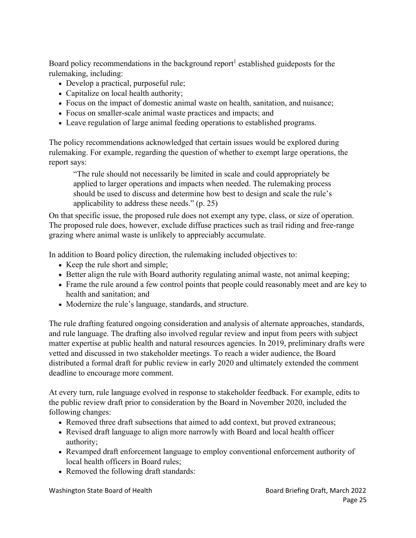Board policy recommendations in the background report<sup>1</sup> established guideposts for the rulemaking, including:

- Develop a practical, purposeful rule;
- Capitalize on local health authority;
- Focus on the impact of domestic animal waste on health, sanitation, and nuisance;
- Focus on smaller-scale animal waste practices and impacts; and
- Leave regulation of large animal feeding operations to established programs.

The policy recommendations acknowledged that certain issues would be explored during rulemaking. For example, regarding the question of whether to exempt large operations, the report says:

"The rule should not necessarily be limited in scale and could appropriately be applied to larger operations and impacts when needed. The rulemaking process should be used to discuss and determine how best to design and scale the rule's applicability to address these needs." (p. 25)

On that specific issue, the proposed rule does not exempt any type, class, or size of operation. The proposed rule does, however, exclude diffuse practices such as trail riding and free-range grazing where animal waste is unlikely to appreciably accumulate.

In addition to Board policy direction, the rulemaking included objectives to:

- Keep the rule short and simple;
- Better align the rule with Board authority regulating animal waste, not animal keeping;
- Frame the rule around a few control points that people could reasonably meet and are key to health and sanitation; and
- Modernize the rule's language, standards, and structure.

The rule drafting featured ongoing consideration and analysis of alternate approaches, standards, and rule language. The drafting also involved regular review and input from peers with subject matter expertise at public health and natural resources agencies. In 2019, preliminary drafts were vetted and discussed in two stakeholder meetings. To reach a wider audience, the Board distributed a formal draft for public review in early 2020 and ultimately extended the comment deadline to encourage more comment.

At every turn, rule language evolved in response to stakeholder feedback. For example, edits to the public review draft prior to consideration by the Board in November 2020, included the following changes:

- Removed three draft subsections that aimed to add context, but proved extraneous;
- Revised draft language to align more narrowly with Board and local health officer authority;
- Revamped draft enforcement language to employ conventional enforcement authority of local health officers in Board rules;
- Removed the following draft standards:

Washington State Board of Health Board Board Board Briefing Draft, March 2022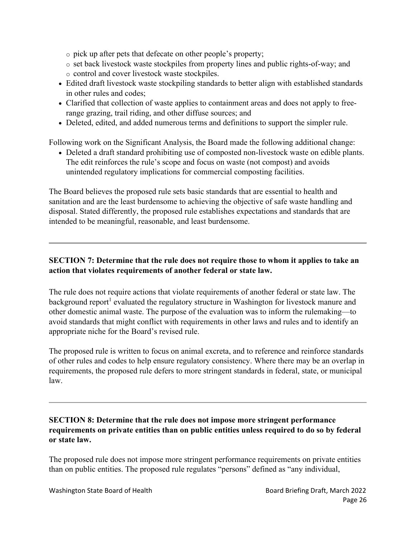- o pick up after pets that defecate on other people's property;
- o set back livestock waste stockpiles from property lines and public rights-of-way; and o control and cover livestock waste stockpiles.
- Edited draft livestock waste stockpiling standards to better align with established standards in other rules and codes;
- Clarified that collection of waste applies to containment areas and does not apply to freerange grazing, trail riding, and other diffuse sources; and
- Deleted, edited, and added numerous terms and definitions to support the simpler rule.

Following work on the Significant Analysis, the Board made the following additional change:

• Deleted a draft standard prohibiting use of composted non-livestock waste on edible plants. The edit reinforces the rule's scope and focus on waste (not compost) and avoids unintended regulatory implications for commercial composting facilities.

The Board believes the proposed rule sets basic standards that are essential to health and sanitation and are the least burdensome to achieving the objective of safe waste handling and disposal. Stated differently, the proposed rule establishes expectations and standards that are intended to be meaningful, reasonable, and least burdensome.

## **SECTION 7: Determine that the rule does not require those to whom it applies to take an action that violates requirements of another federal or state law.**

The rule does not require actions that violate requirements of another federal or state law. The background report<sup>1</sup> evaluated the regulatory structure in Washington for livestock manure and other domestic animal waste. The purpose of the evaluation was to inform the rulemaking—to avoid standards that might conflict with requirements in other laws and rules and to identify an appropriate niche for the Board's revised rule.

The proposed rule is written to focus on animal excreta, and to reference and reinforce standards of other rules and codes to help ensure regulatory consistency. Where there may be an overlap in requirements, the proposed rule defers to more stringent standards in federal, state, or municipal law.

#### **SECTION 8: Determine that the rule does not impose more stringent performance requirements on private entities than on public entities unless required to do so by federal or state law.**

The proposed rule does not impose more stringent performance requirements on private entities than on public entities. The proposed rule regulates "persons" defined as "any individual,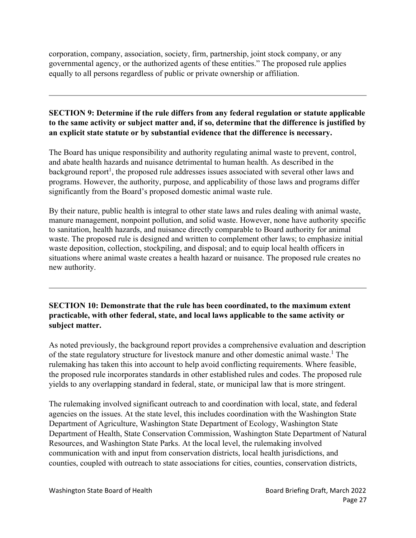corporation, company, association, society, firm, partnership, joint stock company, or any governmental agency, or the authorized agents of these entities." The proposed rule applies equally to all persons regardless of public or private ownership or affiliation.

## **SECTION 9: Determine if the rule differs from any federal regulation or statute applicable to the same activity or subject matter and, if so, determine that the difference is justified by an explicit state statute or by substantial evidence that the difference is necessary.**

The Board has unique responsibility and authority regulating animal waste to prevent, control, and abate health hazards and nuisance detrimental to human health. As described in the background report<sup>1</sup>, the proposed rule addresses issues associated with several other laws and programs. However, the authority, purpose, and applicability of those laws and programs differ significantly from the Board's proposed domestic animal waste rule.

By their nature, public health is integral to other state laws and rules dealing with animal waste, manure management, nonpoint pollution, and solid waste. However, none have authority specific to sanitation, health hazards, and nuisance directly comparable to Board authority for animal waste. The proposed rule is designed and written to complement other laws; to emphasize initial waste deposition, collection, stockpiling, and disposal; and to equip local health officers in situations where animal waste creates a health hazard or nuisance. The proposed rule creates no new authority.

**SECTION 10: Demonstrate that the rule has been coordinated, to the maximum extent practicable, with other federal, state, and local laws applicable to the same activity or subject matter.**

As noted previously, the background report provides a comprehensive evaluation and description of the state regulatory structure for livestock manure and other domestic animal waste.<sup>[1](#page-2-1)</sup> The rulemaking has taken this into account to help avoid conflicting requirements. Where feasible, the proposed rule incorporates standards in other established rules and codes. The proposed rule yields to any overlapping standard in federal, state, or municipal law that is more stringent.

The rulemaking involved significant outreach to and coordination with local, state, and federal agencies on the issues. At the state level, this includes coordination with the Washington State Department of Agriculture, Washington State Department of Ecology, Washington State Department of Health, State Conservation Commission, Washington State Department of Natural Resources, and Washington State Parks. At the local level, the rulemaking involved communication with and input from conservation districts, local health jurisdictions, and counties, coupled with outreach to state associations for cities, counties, conservation districts,